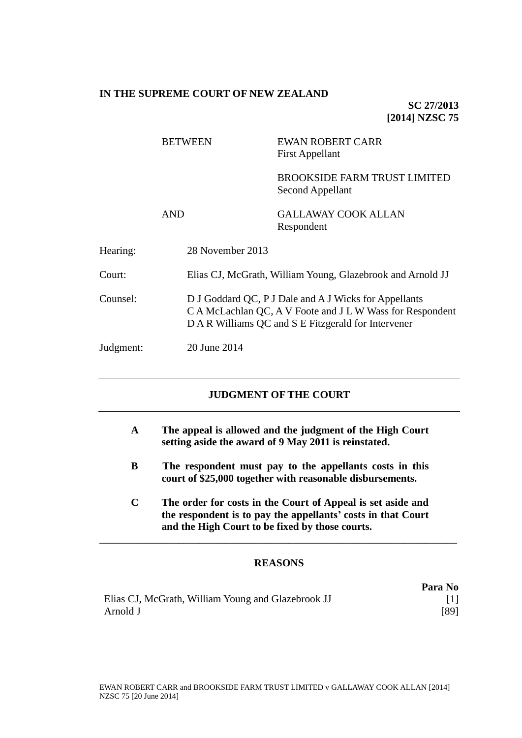# **IN THE SUPREME COURT OF NEW ZEALAND**

**SC 27/2013 [2014] NZSC 75**

|           | <b>BETWEEN</b>   | <b>EWAN ROBERT CARR</b><br><b>First Appellant</b>                                                                                                                         |  |
|-----------|------------------|---------------------------------------------------------------------------------------------------------------------------------------------------------------------------|--|
|           |                  | <b>BROOKSIDE FARM TRUST LIMITED</b><br>Second Appellant                                                                                                                   |  |
|           | <b>AND</b>       | GALLAWAY COOK ALLAN<br>Respondent                                                                                                                                         |  |
| Hearing:  | 28 November 2013 |                                                                                                                                                                           |  |
| Court:    |                  | Elias CJ, McGrath, William Young, Glazebrook and Arnold JJ                                                                                                                |  |
| Counsel:  |                  | D J Goddard QC, P J Dale and A J Wicks for Appellants<br>C A McLachlan QC, A V Foote and J L W Wass for Respondent<br>D A R Williams QC and S E Fitzgerald for Intervener |  |
| Judgment: | 20 June 2014     |                                                                                                                                                                           |  |

# **JUDGMENT OF THE COURT**

- **A The appeal is allowed and the judgment of the High Court setting aside the award of 9 May 2011 is reinstated.**
- **B The respondent must pay to the appellants costs in this court of \$25,000 together with reasonable disbursements.**
- **C The order for costs in the Court of Appeal is set aside and the respondent is to pay the appellants' costs in that Court and the High Court to be fixed by those courts.**

# **REASONS**

\_\_\_\_\_\_\_\_\_\_\_\_\_\_\_\_\_\_\_\_\_\_\_\_\_\_\_\_\_\_\_\_\_\_\_\_\_\_\_\_\_\_\_\_\_\_\_\_\_\_\_\_\_\_\_\_\_\_\_\_\_\_\_\_\_\_\_\_

|                                                    | Para No |
|----------------------------------------------------|---------|
| Elias CJ, McGrath, William Young and Glazebrook JJ |         |
| Arnold J                                           | [89]    |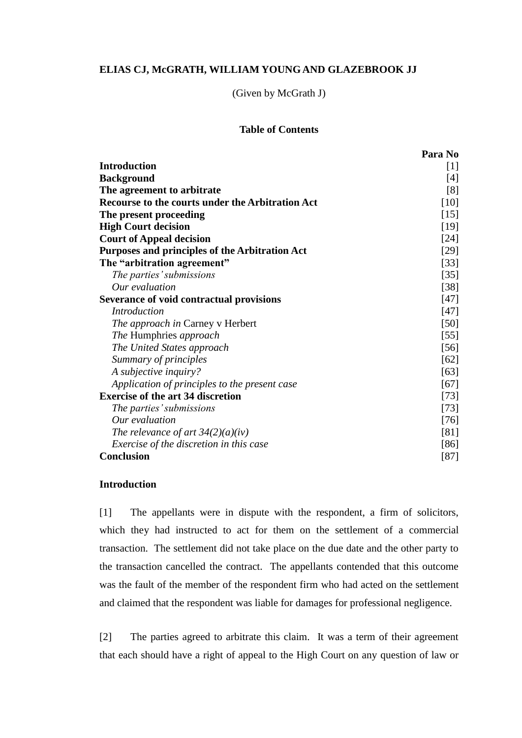# **ELIAS CJ, McGRATH, WILLIAM YOUNG AND GLAZEBROOK JJ**

(Given by McGrath J)

# **Table of Contents**

|                                                         | Para No |
|---------------------------------------------------------|---------|
| <b>Introduction</b>                                     | $[1]$   |
| <b>Background</b>                                       | $[4]$   |
| The agreement to arbitrate                              | [8]     |
| <b>Recourse to the courts under the Arbitration Act</b> | $[10]$  |
| The present proceeding                                  | $[15]$  |
| <b>High Court decision</b>                              | $[19]$  |
| <b>Court of Appeal decision</b>                         | $[24]$  |
| Purposes and principles of the Arbitration Act          | $[29]$  |
| The "arbitration agreement"                             | $[33]$  |
| The parties' submissions                                | $[35]$  |
| Our evaluation                                          | $[38]$  |
| Severance of void contractual provisions                | $[47]$  |
| <b>Introduction</b>                                     | $[47]$  |
| The approach in Carney v Herbert                        | $[50]$  |
| The Humphries approach                                  | $[55]$  |
| The United States approach                              | $[56]$  |
| Summary of principles                                   | [62]    |
| A subjective inquiry?                                   | [63]    |
| Application of principles to the present case           | [67]    |
| <b>Exercise of the art 34 discretion</b>                | $[73]$  |
| The parties' submissions                                | $[73]$  |
| Our evaluation                                          | $[76]$  |
| The relevance of art $34(2)(a)(iv)$                     | [81]    |
| <i>Exercise of the discretion in this case</i>          | [86]    |
| <b>Conclusion</b>                                       | [87]    |

# <span id="page-1-0"></span>**Introduction**

[1] The appellants were in dispute with the respondent, a firm of solicitors, which they had instructed to act for them on the settlement of a commercial transaction. The settlement did not take place on the due date and the other party to the transaction cancelled the contract. The appellants contended that this outcome was the fault of the member of the respondent firm who had acted on the settlement and claimed that the respondent was liable for damages for professional negligence.

[2] The parties agreed to arbitrate this claim. It was a term of their agreement that each should have a right of appeal to the High Court on any question of law or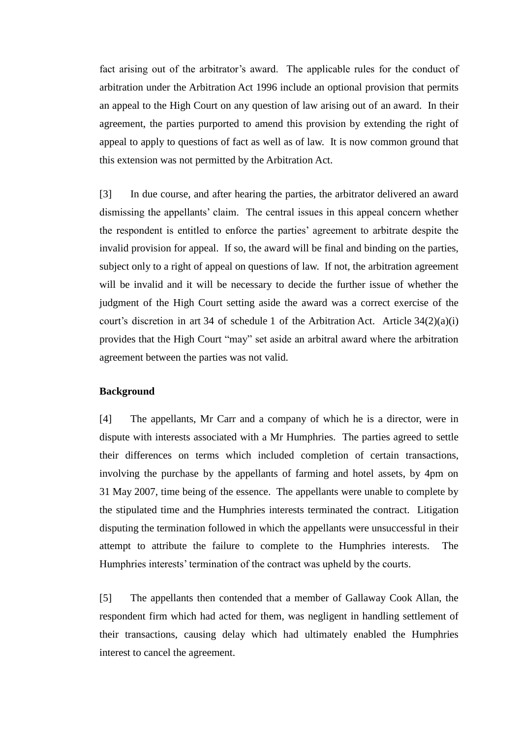fact arising out of the arbitrator's award. The applicable rules for the conduct of arbitration under the Arbitration Act 1996 include an optional provision that permits an appeal to the High Court on any question of law arising out of an award. In their agreement, the parties purported to amend this provision by extending the right of appeal to apply to questions of fact as well as of law. It is now common ground that this extension was not permitted by the Arbitration Act.

[3] In due course, and after hearing the parties, the arbitrator delivered an award dismissing the appellants' claim. The central issues in this appeal concern whether the respondent is entitled to enforce the parties' agreement to arbitrate despite the invalid provision for appeal. If so, the award will be final and binding on the parties, subject only to a right of appeal on questions of law. If not, the arbitration agreement will be invalid and it will be necessary to decide the further issue of whether the judgment of the High Court setting aside the award was a correct exercise of the court's discretion in art 34 of schedule 1 of the Arbitration Act. Article 34(2)(a)(i) provides that the High Court "may" set aside an arbitral award where the arbitration agreement between the parties was not valid.

### **Background**

<span id="page-2-0"></span>[4] The appellants, Mr Carr and a company of which he is a director, were in dispute with interests associated with a Mr Humphries. The parties agreed to settle their differences on terms which included completion of certain transactions, involving the purchase by the appellants of farming and hotel assets, by 4pm on 31 May 2007, time being of the essence. The appellants were unable to complete by the stipulated time and the Humphries interests terminated the contract. Litigation disputing the termination followed in which the appellants were unsuccessful in their attempt to attribute the failure to complete to the Humphries interests. The Humphries interests' termination of the contract was upheld by the courts.

[5] The appellants then contended that a member of Gallaway Cook Allan, the respondent firm which had acted for them, was negligent in handling settlement of their transactions, causing delay which had ultimately enabled the Humphries interest to cancel the agreement.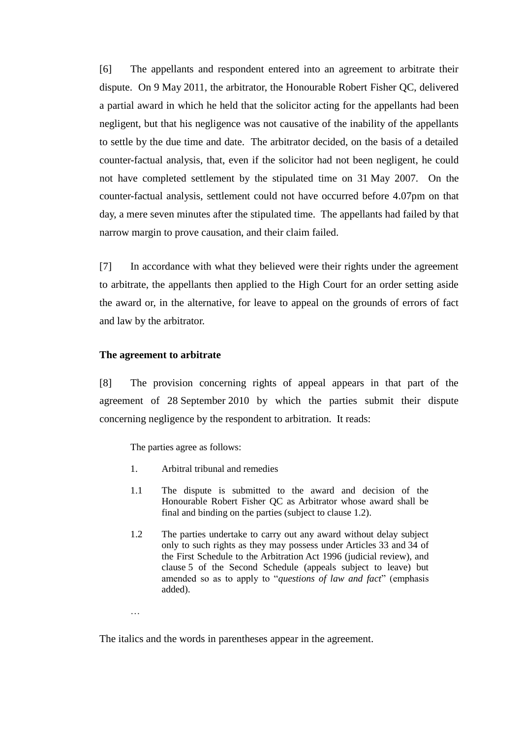[6] The appellants and respondent entered into an agreement to arbitrate their dispute. On 9 May 2011, the arbitrator, the Honourable Robert Fisher QC, delivered a partial award in which he held that the solicitor acting for the appellants had been negligent, but that his negligence was not causative of the inability of the appellants to settle by the due time and date. The arbitrator decided, on the basis of a detailed counter-factual analysis, that, even if the solicitor had not been negligent, he could not have completed settlement by the stipulated time on 31 May 2007. On the counter-factual analysis, settlement could not have occurred before 4.07pm on that day, a mere seven minutes after the stipulated time. The appellants had failed by that narrow margin to prove causation, and their claim failed.

[7] In accordance with what they believed were their rights under the agreement to arbitrate, the appellants then applied to the High Court for an order setting aside the award or, in the alternative, for leave to appeal on the grounds of errors of fact and law by the arbitrator.

#### **The agreement to arbitrate**

…

<span id="page-3-0"></span>[8] The provision concerning rights of appeal appears in that part of the agreement of 28 September 2010 by which the parties submit their dispute concerning negligence by the respondent to arbitration. It reads:

The parties agree as follows:

- 1. Arbitral tribunal and remedies
- 1.1 The dispute is submitted to the award and decision of the Honourable Robert Fisher QC as Arbitrator whose award shall be final and binding on the parties (subject to clause 1.2).
- 1.2 The parties undertake to carry out any award without delay subject only to such rights as they may possess under Articles 33 and 34 of the First Schedule to the Arbitration Act 1996 (judicial review), and clause 5 of the Second Schedule (appeals subject to leave) but amended so as to apply to "*questions of law and fact*" (emphasis added).

The italics and the words in parentheses appear in the agreement.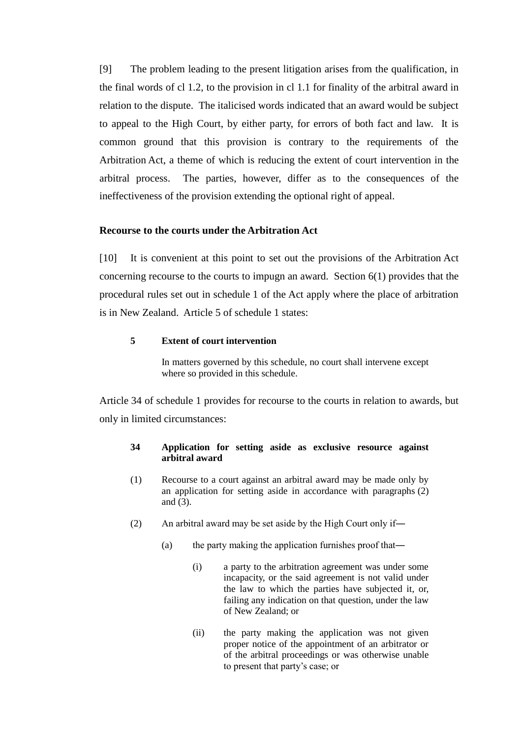[9] The problem leading to the present litigation arises from the qualification, in the final words of cl 1.2, to the provision in cl 1.1 for finality of the arbitral award in relation to the dispute. The italicised words indicated that an award would be subject to appeal to the High Court, by either party, for errors of both fact and law. It is common ground that this provision is contrary to the requirements of the Arbitration Act, a theme of which is reducing the extent of court intervention in the arbitral process. The parties, however, differ as to the consequences of the ineffectiveness of the provision extending the optional right of appeal.

## **Recourse to the courts under the Arbitration Act**

<span id="page-4-0"></span>[10] It is convenient at this point to set out the provisions of the Arbitration Act concerning recourse to the courts to impugn an award. Section 6(1) provides that the procedural rules set out in schedule 1 of the Act apply where the place of arbitration is in New Zealand. Article 5 of schedule 1 states:

# **5 Extent of court intervention**

In matters governed by this schedule, no court shall intervene except where so provided in this schedule.

Article 34 of schedule 1 provides for recourse to the courts in relation to awards, but only in limited circumstances:

## **34 Application for setting aside as exclusive resource against arbitral award**

- (1) Recourse to a court against an arbitral award may be made only by an application for setting aside in accordance with paragraphs (2) and (3).
- (2) An arbitral award may be set aside by the High Court only if―
	- (a) the party making the application furnishes proof that―
		- (i) a party to the arbitration agreement was under some incapacity, or the said agreement is not valid under the law to which the parties have subjected it, or, failing any indication on that question, under the law of New Zealand; or
		- (ii) the party making the application was not given proper notice of the appointment of an arbitrator or of the arbitral proceedings or was otherwise unable to present that party's case; or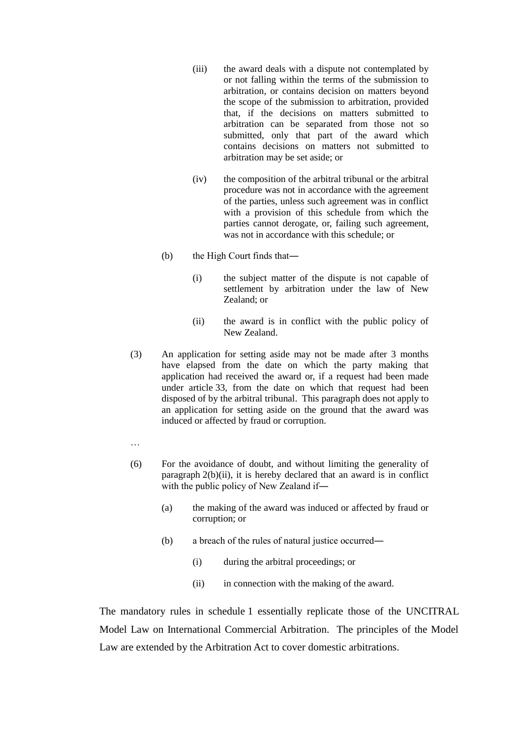- (iii) the award deals with a dispute not contemplated by or not falling within the terms of the submission to arbitration, or contains decision on matters beyond the scope of the submission to arbitration, provided that, if the decisions on matters submitted to arbitration can be separated from those not so submitted, only that part of the award which contains decisions on matters not submitted to arbitration may be set aside; or
- (iv) the composition of the arbitral tribunal or the arbitral procedure was not in accordance with the agreement of the parties, unless such agreement was in conflict with a provision of this schedule from which the parties cannot derogate, or, failing such agreement, was not in accordance with this schedule; or
- (b) the High Court finds that―
	- (i) the subject matter of the dispute is not capable of settlement by arbitration under the law of New Zealand; or
	- (ii) the award is in conflict with the public policy of New Zealand.
- (3) An application for setting aside may not be made after 3 months have elapsed from the date on which the party making that application had received the award or, if a request had been made under article 33, from the date on which that request had been disposed of by the arbitral tribunal. This paragraph does not apply to an application for setting aside on the ground that the award was induced or affected by fraud or corruption.
- …
- (6) For the avoidance of doubt, and without limiting the generality of paragraph 2(b)(ii), it is hereby declared that an award is in conflict with the public policy of New Zealand if―
	- (a) the making of the award was induced or affected by fraud or corruption; or
	- (b) a breach of the rules of natural justice occurred―
		- (i) during the arbitral proceedings; or
		- (ii) in connection with the making of the award.

The mandatory rules in schedule 1 essentially replicate those of the UNCITRAL Model Law on International Commercial Arbitration. The principles of the Model Law are extended by the Arbitration Act to cover domestic arbitrations.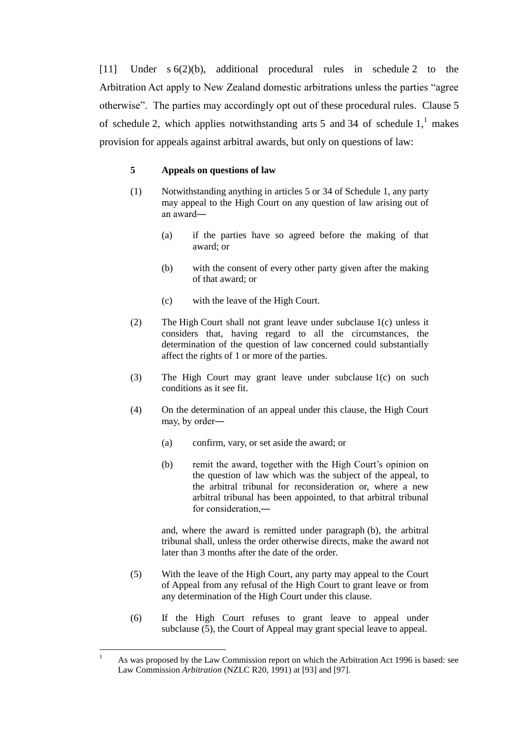<span id="page-6-0"></span>[11] Under s 6(2)(b), additional procedural rules in schedule 2 to the Arbitration Act apply to New Zealand domestic arbitrations unless the parties "agree otherwise". The parties may accordingly opt out of these procedural rules. Clause 5 of schedule 2, which applies notwithstanding arts 5 and 34 of schedule  $1<sup>1</sup>$  makes provision for appeals against arbitral awards, but only on questions of law:

#### <span id="page-6-1"></span>**5 Appeals on questions of law**

- (1) Notwithstanding anything in articles 5 or 34 of Schedule 1, any party may appeal to the High Court on any question of law arising out of an award―
	- (a) if the parties have so agreed before the making of that award; or
	- (b) with the consent of every other party given after the making of that award; or
	- (c) with the leave of the High Court.
- (2) The High Court shall not grant leave under subclause 1(c) unless it considers that, having regard to all the circumstances, the determination of the question of law concerned could substantially affect the rights of 1 or more of the parties.
- (3) The High Court may grant leave under subclause 1(c) on such conditions as it see fit.
- (4) On the determination of an appeal under this clause, the High Court may, by order-
	- (a) confirm, vary, or set aside the award; or
	- (b) remit the award, together with the High Court's opinion on the question of law which was the subject of the appeal, to the arbitral tribunal for reconsideration or, where a new arbitral tribunal has been appointed, to that arbitral tribunal for consideration,―

and, where the award is remitted under paragraph (b), the arbitral tribunal shall, unless the order otherwise directs, make the award not later than 3 months after the date of the order.

- (5) With the leave of the High Court, any party may appeal to the Court of Appeal from any refusal of the High Court to grant leave or from any determination of the High Court under this clause.
- (6) If the High Court refuses to grant leave to appeal under subclause (5), the Court of Appeal may grant special leave to appeal.

 $\overline{1}$ As was proposed by the Law Commission report on which the Arbitration Act 1996 is based: see Law Commission *Arbitration* (NZLC R20, 1991) at [93] and [97].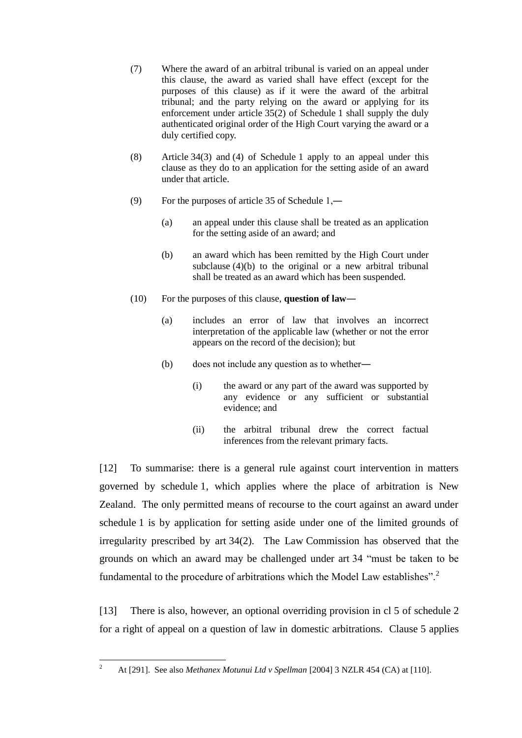- (7) Where the award of an arbitral tribunal is varied on an appeal under this clause, the award as varied shall have effect (except for the purposes of this clause) as if it were the award of the arbitral tribunal; and the party relying on the award or applying for its enforcement under article 35(2) of Schedule 1 shall supply the duly authenticated original order of the High Court varying the award or a duly certified copy.
- (8) Article 34(3) and (4) of Schedule 1 apply to an appeal under this clause as they do to an application for the setting aside of an award under that article.
- (9) For the purposes of article 35 of Schedule 1,―
	- (a) an appeal under this clause shall be treated as an application for the setting aside of an award; and
	- (b) an award which has been remitted by the High Court under subclause (4)(b) to the original or a new arbitral tribunal shall be treated as an award which has been suspended.
- (10) For the purposes of this clause, **question of law**―
	- (a) includes an error of law that involves an incorrect interpretation of the applicable law (whether or not the error appears on the record of the decision); but
	- (b) does not include any question as to whether―
		- (i) the award or any part of the award was supported by any evidence or any sufficient or substantial evidence; and
		- (ii) the arbitral tribunal drew the correct factual inferences from the relevant primary facts.

[12] To summarise: there is a general rule against court intervention in matters governed by schedule 1, which applies where the place of arbitration is New Zealand. The only permitted means of recourse to the court against an award under schedule 1 is by application for setting aside under one of the limited grounds of irregularity prescribed by art 34(2). The Law Commission has observed that the grounds on which an award may be challenged under art 34 "must be taken to be fundamental to the procedure of arbitrations which the Model Law establishes".<sup>2</sup>

<span id="page-7-0"></span>[13] There is also, however, an optional overriding provision in cl 5 of schedule 2 for a right of appeal on a question of law in domestic arbitrations. Clause 5 applies

 $\overline{2}$ <sup>2</sup> At [291]. See also *Methanex Motunui Ltd v Spellman* [2004] 3 NZLR 454 (CA) at [110].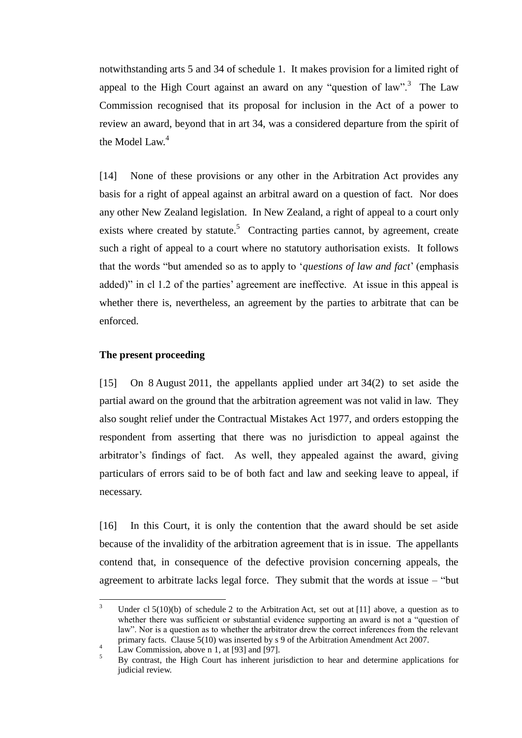notwithstanding arts 5 and 34 of schedule 1. It makes provision for a limited right of appeal to the High Court against an award on any "question of law".<sup>3</sup> The Law Commission recognised that its proposal for inclusion in the Act of a power to review an award, beyond that in art 34, was a considered departure from the spirit of the Model Law.<sup>4</sup>

<span id="page-8-1"></span>[14] None of these provisions or any other in the Arbitration Act provides any basis for a right of appeal against an arbitral award on a question of fact. Nor does any other New Zealand legislation. In New Zealand, a right of appeal to a court only exists where created by statute.<sup>5</sup> Contracting parties cannot, by agreement, create such a right of appeal to a court where no statutory authorisation exists. It follows that the words "but amended so as to apply to '*questions of law and fact*' (emphasis added)" in cl 1.2 of the parties' agreement are ineffective. At issue in this appeal is whether there is, nevertheless, an agreement by the parties to arbitrate that can be enforced.

## <span id="page-8-0"></span>**The present proceeding**

[15] On 8 August 2011, the appellants applied under art 34(2) to set aside the partial award on the ground that the arbitration agreement was not valid in law. They also sought relief under the Contractual Mistakes Act 1977, and orders estopping the respondent from asserting that there was no jurisdiction to appeal against the arbitrator's findings of fact. As well, they appealed against the award, giving particulars of errors said to be of both fact and law and seeking leave to appeal, if necessary.

[16] In this Court, it is only the contention that the award should be set aside because of the invalidity of the arbitration agreement that is in issue. The appellants contend that, in consequence of the defective provision concerning appeals, the agreement to arbitrate lacks legal force. They submit that the words at issue – "but

 $\overline{a}$ 

Under cl  $5(10)(b)$  of schedule 2 to the Arbitration Act, set out at [\[11\]](#page-6-0) above, a question as to whether there was sufficient or substantial evidence supporting an award is not a "question of law". Nor is a question as to whether the arbitrator drew the correct inferences from the relevant primary facts. Clause 5(10) was inserted by s 9 of the Arbitration Amendment Act 2007.

 $\frac{4}{2}$  Law Commission, above n [1,](#page-6-1) at [93] and [97].

<sup>5</sup> By contrast, the High Court has inherent jurisdiction to hear and determine applications for judicial review.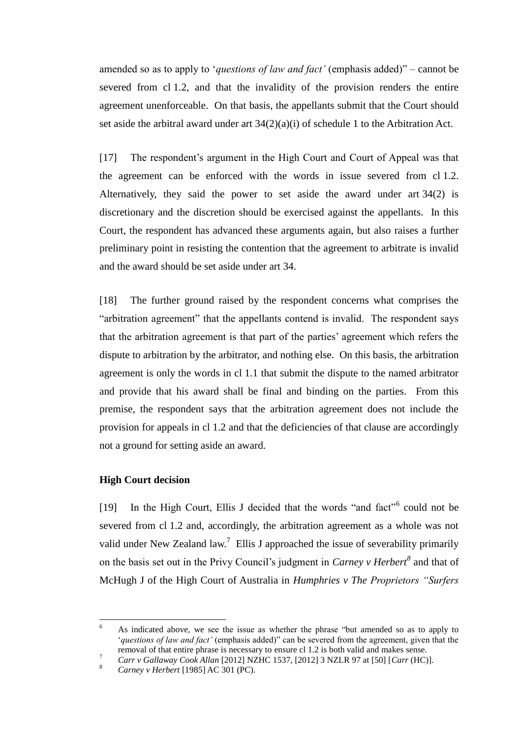amended so as to apply to '*questions of law and fact'* (emphasis added)" – cannot be severed from cl 1.2, and that the invalidity of the provision renders the entire agreement unenforceable. On that basis, the appellants submit that the Court should set aside the arbitral award under art 34(2)(a)(i) of schedule 1 to the Arbitration Act.

[17] The respondent's argument in the High Court and Court of Appeal was that the agreement can be enforced with the words in issue severed from cl 1.2. Alternatively, they said the power to set aside the award under art 34(2) is discretionary and the discretion should be exercised against the appellants. In this Court, the respondent has advanced these arguments again, but also raises a further preliminary point in resisting the contention that the agreement to arbitrate is invalid and the award should be set aside under art 34.

[18] The further ground raised by the respondent concerns what comprises the "arbitration agreement" that the appellants contend is invalid. The respondent says that the arbitration agreement is that part of the parties' agreement which refers the dispute to arbitration by the arbitrator, and nothing else. On this basis, the arbitration agreement is only the words in cl 1.1 that submit the dispute to the named arbitrator and provide that his award shall be final and binding on the parties. From this premise, the respondent says that the arbitration agreement does not include the provision for appeals in cl 1.2 and that the deficiencies of that clause are accordingly not a ground for setting aside an award.

# **High Court decision**

<span id="page-9-2"></span> $\overline{a}$ 

<span id="page-9-1"></span><span id="page-9-0"></span>[19] In the High Court, Ellis J decided that the words "and fact"<sup>6</sup> could not be severed from cl 1.2 and, accordingly, the arbitration agreement as a whole was not valid under New Zealand law.<sup>7</sup> Ellis J approached the issue of severability primarily on the basis set out in the Privy Council's judgment in *Carney v Herbert<sup>8</sup>* and that of McHugh J of the High Court of Australia in *Humphries v The Proprietors "Surfers* 

<sup>6</sup> As indicated above, we see the issue as whether the phrase "but amended so as to apply to '*questions of law and fact'* (emphasis added)" can be severed from the agreement, given that the removal of that entire phrase is necessary to ensure cl 1.2 is both valid and makes sense.

<sup>7</sup> *Carr v Gallaway Cook Allan* [2012] NZHC 1537, [2012] 3 NZLR 97 at [50] [*Carr* (HC)].

<sup>8</sup> *Carney v Herbert* [1985] AC 301 (PC).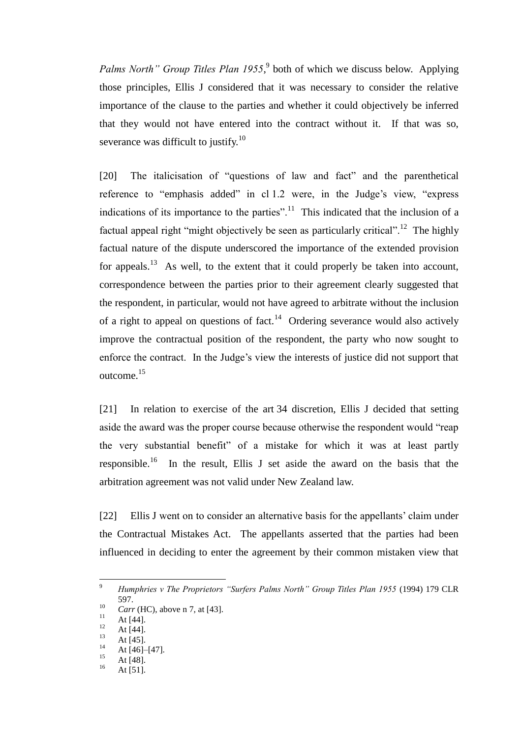<span id="page-10-0"></span>Palms North" Group Titles Plan 1955,<sup>9</sup> both of which we discuss below. Applying those principles, Ellis J considered that it was necessary to consider the relative importance of the clause to the parties and whether it could objectively be inferred that they would not have entered into the contract without it. If that was so, severance was difficult to justify.<sup>10</sup>

[20] The italicisation of "questions of law and fact" and the parenthetical reference to "emphasis added" in cl 1.2 were, in the Judge's view, "express indications of its importance to the parties".<sup>11</sup> This indicated that the inclusion of a factual appeal right "might objectively be seen as particularly critical".<sup>12</sup> The highly factual nature of the dispute underscored the importance of the extended provision for appeals.<sup>13</sup> As well, to the extent that it could properly be taken into account, correspondence between the parties prior to their agreement clearly suggested that the respondent, in particular, would not have agreed to arbitrate without the inclusion of a right to appeal on questions of fact.<sup>14</sup> Ordering severance would also actively improve the contractual position of the respondent, the party who now sought to enforce the contract. In the Judge's view the interests of justice did not support that outcome.<sup>15</sup>

[21] In relation to exercise of the art 34 discretion, Ellis J decided that setting aside the award was the proper course because otherwise the respondent would "reap the very substantial benefit" of a mistake for which it was at least partly responsible.<sup>16</sup> In the result, Ellis J set aside the award on the basis that the arbitration agreement was not valid under New Zealand law.

[22] Ellis J went on to consider an alternative basis for the appellants' claim under the Contractual Mistakes Act. The appellants asserted that the parties had been influenced in deciding to enter the agreement by their common mistaken view that

 $\overline{a}$ 

<sup>9</sup> *Humphries v The Proprietors "Surfers Palms North" Group Titles Plan 1955* (1994) 179 CLR 597.

 $\frac{10}{11}$  *Carr* (HC), above n [7,](#page-9-1) at [43].

 $11$  At [44].

 $12$  At [44].

 $13$  At [45].

 $14$  At [46]–[47].

 $15$  At [48].

At [51].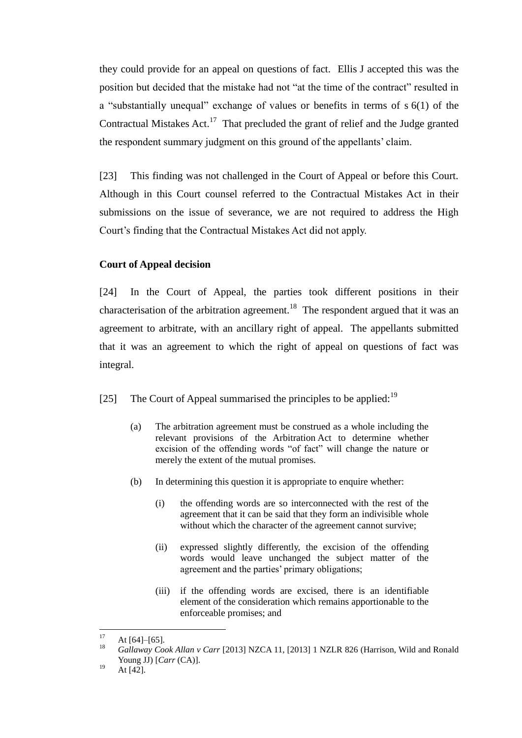they could provide for an appeal on questions of fact. Ellis J accepted this was the position but decided that the mistake had not "at the time of the contract" resulted in a "substantially unequal" exchange of values or benefits in terms of s 6(1) of the Contractual Mistakes Act. $17$  That precluded the grant of relief and the Judge granted the respondent summary judgment on this ground of the appellants' claim.

[23] This finding was not challenged in the Court of Appeal or before this Court. Although in this Court counsel referred to the Contractual Mistakes Act in their submissions on the issue of severance, we are not required to address the High Court's finding that the Contractual Mistakes Act did not apply.

# **Court of Appeal decision**

<span id="page-11-1"></span><span id="page-11-0"></span>[24] In the Court of Appeal, the parties took different positions in their characterisation of the arbitration agreement.<sup>18</sup> The respondent argued that it was an agreement to arbitrate, with an ancillary right of appeal. The appellants submitted that it was an agreement to which the right of appeal on questions of fact was integral.

[25] The Court of Appeal summarised the principles to be applied:  $19$ 

- (a) The arbitration agreement must be construed as a whole including the relevant provisions of the Arbitration Act to determine whether excision of the offending words "of fact" will change the nature or merely the extent of the mutual promises.
- (b) In determining this question it is appropriate to enquire whether:
	- (i) the offending words are so interconnected with the rest of the agreement that it can be said that they form an indivisible whole without which the character of the agreement cannot survive;
	- (ii) expressed slightly differently, the excision of the offending words would leave unchanged the subject matter of the agreement and the parties' primary obligations;
	- (iii) if the offending words are excised, there is an identifiable element of the consideration which remains apportionable to the enforceable promises; and

 $17$  $17 \text{ At } [64]–[65].$ 

<sup>18</sup> *Gallaway Cook Allan v Carr* [2013] NZCA 11, [2013] 1 NZLR 826 (Harrison, Wild and Ronald Young JJ) [*Carr* (CA)].

 $^{19}$  At [42].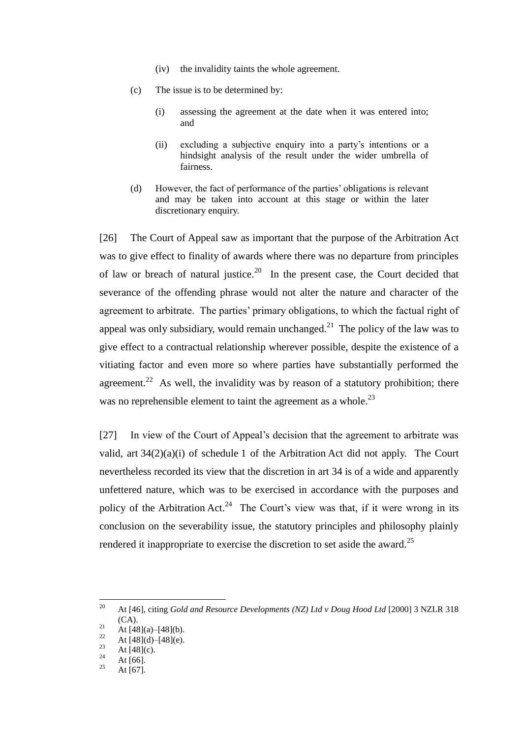- (iv) the invalidity taints the whole agreement.
- (c) The issue is to be determined by:
	- (i) assessing the agreement at the date when it was entered into; and
	- (ii) excluding a subjective enquiry into a party's intentions or a hindsight analysis of the result under the wider umbrella of fairness.
- <span id="page-12-0"></span>(d) However, the fact of performance of the parties' obligations is relevant and may be taken into account at this stage or within the later discretionary enquiry.

[26] The Court of Appeal saw as important that the purpose of the Arbitration Act was to give effect to finality of awards where there was no departure from principles of law or breach of natural justice.<sup>20</sup> In the present case, the Court decided that severance of the offending phrase would not alter the nature and character of the agreement to arbitrate. The parties' primary obligations, to which the factual right of appeal was only subsidiary, would remain unchanged.<sup>21</sup> The policy of the law was to give effect to a contractual relationship wherever possible, despite the existence of a vitiating factor and even more so where parties have substantially performed the agreement.<sup>22</sup> As well, the invalidity was by reason of a statutory prohibition; there was no reprehensible element to taint the agreement as a whole.<sup>23</sup>

[27] In view of the Court of Appeal's decision that the agreement to arbitrate was valid, art 34(2)(a)(i) of schedule 1 of the Arbitration Act did not apply. The Court nevertheless recorded its view that the discretion in art 34 is of a wide and apparently unfettered nature, which was to be exercised in accordance with the purposes and policy of the Arbitration Act.<sup>24</sup> The Court's view was that, if it were wrong in its conclusion on the severability issue, the statutory principles and philosophy plainly rendered it inappropriate to exercise the discretion to set aside the award.<sup>25</sup>

<sup>20</sup> <sup>20</sup> At [46], citing *Gold and Resource Developments (NZ) Ltd v Doug Hood Ltd* [2000] 3 NZLR 318  $(CA)$ .

<sup>&</sup>lt;sup>21</sup> At [48](a)–[48](b).<br><sup>22</sup> At [48](d), [48](c).

<sup>&</sup>lt;sup>22</sup> At [48](d)–[48](e).

 $\frac{23}{24}$  At [48](c).

 $\frac{24}{25}$  At [66].

At  $[67]$ .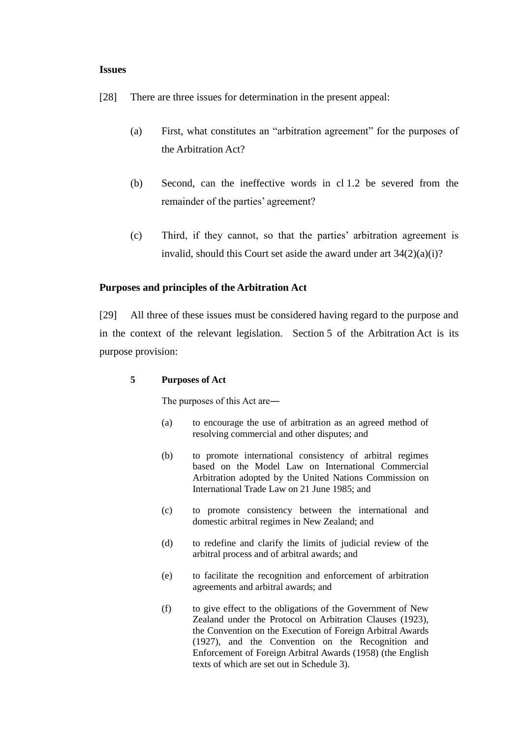#### **Issues**

- [28] There are three issues for determination in the present appeal:
	- (a) First, what constitutes an "arbitration agreement" for the purposes of the Arbitration Act?
	- (b) Second, can the ineffective words in cl 1.2 be severed from the remainder of the parties' agreement?
	- (c) Third, if they cannot, so that the parties' arbitration agreement is invalid, should this Court set aside the award under art  $34(2)(a)(i)$ ?

# **Purposes and principles of the Arbitration Act**

<span id="page-13-0"></span>[29] All three of these issues must be considered having regard to the purpose and in the context of the relevant legislation. Section 5 of the Arbitration Act is its purpose provision:

# **5 Purposes of Act**

The purposes of this Act are―

- (a) to encourage the use of arbitration as an agreed method of resolving commercial and other disputes; and
- (b) to promote international consistency of arbitral regimes based on the Model Law on International Commercial Arbitration adopted by the United Nations Commission on International Trade Law on 21 June 1985; and
- (c) to promote consistency between the international and domestic arbitral regimes in New Zealand; and
- (d) to redefine and clarify the limits of judicial review of the arbitral process and of arbitral awards; and
- (e) to facilitate the recognition and enforcement of arbitration agreements and arbitral awards; and
- (f) to give effect to the obligations of the Government of New Zealand under the Protocol on Arbitration Clauses (1923), the Convention on the Execution of Foreign Arbitral Awards (1927), and the Convention on the Recognition and Enforcement of Foreign Arbitral Awards (1958) (the English texts of which are set out in Schedule 3).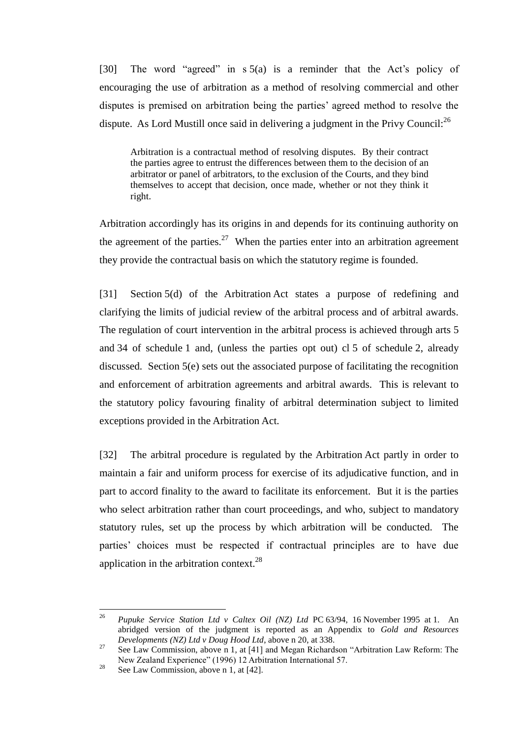[30] The word "agreed" in s 5(a) is a reminder that the Act's policy of encouraging the use of arbitration as a method of resolving commercial and other disputes is premised on arbitration being the parties' agreed method to resolve the dispute. As Lord Mustill once said in delivering a judgment in the Privy Council: $^{26}$ 

Arbitration is a contractual method of resolving disputes. By their contract the parties agree to entrust the differences between them to the decision of an arbitrator or panel of arbitrators, to the exclusion of the Courts, and they bind themselves to accept that decision, once made, whether or not they think it right.

<span id="page-14-0"></span>Arbitration accordingly has its origins in and depends for its continuing authority on the agreement of the parties.<sup>27</sup> When the parties enter into an arbitration agreement they provide the contractual basis on which the statutory regime is founded.

[31] Section 5(d) of the Arbitration Act states a purpose of redefining and clarifying the limits of judicial review of the arbitral process and of arbitral awards. The regulation of court intervention in the arbitral process is achieved through arts 5 and 34 of schedule 1 and, (unless the parties opt out) cl 5 of schedule 2, already discussed. Section 5(e) sets out the associated purpose of facilitating the recognition and enforcement of arbitration agreements and arbitral awards. This is relevant to the statutory policy favouring finality of arbitral determination subject to limited exceptions provided in the Arbitration Act.

[32] The arbitral procedure is regulated by the Arbitration Act partly in order to maintain a fair and uniform process for exercise of its adjudicative function, and in part to accord finality to the award to facilitate its enforcement. But it is the parties who select arbitration rather than court proceedings, and who, subject to mandatory statutory rules, set up the process by which arbitration will be conducted. The parties' choices must be respected if contractual principles are to have due application in the arbitration context. $28$ 

<sup>26</sup> <sup>26</sup> *Pupuke Service Station Ltd v Caltex Oil (NZ) Ltd* PC 63/94, 16 November 1995 at 1. An abridged version of the judgment is reported as an Appendix to *Gold and Resources Developments (NZ) Ltd v Doug Hood Ltd*, above [n 20,](#page-12-0) at 338.

<sup>&</sup>lt;sup>27</sup> See Law Commission, above n [1,](#page-6-1) at [41] and Megan Richardson "Arbitration Law Reform: The New Zealand Experience" (1996) 12 Arbitration International 57.

<sup>&</sup>lt;sup>28</sup> See Law Commission, above n [1,](#page-6-1) at [42].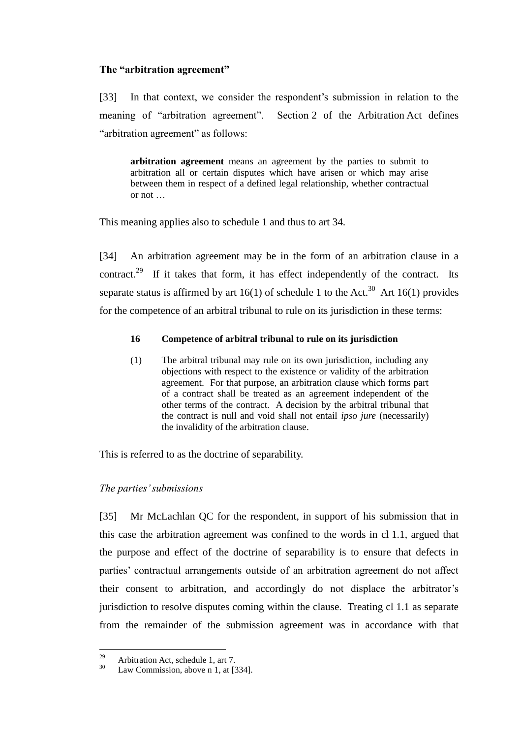## **The "arbitration agreement"**

<span id="page-15-0"></span>[33] In that context, we consider the respondent's submission in relation to the meaning of "arbitration agreement". Section 2 of the Arbitration Act defines "arbitration agreement" as follows:

**arbitration agreement** means an agreement by the parties to submit to arbitration all or certain disputes which have arisen or which may arise between them in respect of a defined legal relationship, whether contractual or not …

This meaning applies also to schedule 1 and thus to art 34.

[34] An arbitration agreement may be in the form of an arbitration clause in a contract.<sup>29</sup> If it takes that form, it has effect independently of the contract. Its separate status is affirmed by art  $16(1)$  of schedule 1 to the Act.<sup>30</sup> Art  $16(1)$  provides for the competence of an arbitral tribunal to rule on its jurisdiction in these terms:

# **16 Competence of arbitral tribunal to rule on its jurisdiction**

(1) The arbitral tribunal may rule on its own jurisdiction, including any objections with respect to the existence or validity of the arbitration agreement. For that purpose, an arbitration clause which forms part of a contract shall be treated as an agreement independent of the other terms of the contract. A decision by the arbitral tribunal that the contract is null and void shall not entail *ipso jure* (necessarily) the invalidity of the arbitration clause.

This is referred to as the doctrine of separability.

# *The parties' submissions*

<span id="page-15-1"></span>[35] Mr McLachlan QC for the respondent, in support of his submission that in this case the arbitration agreement was confined to the words in cl 1.1, argued that the purpose and effect of the doctrine of separability is to ensure that defects in parties' contractual arrangements outside of an arbitration agreement do not affect their consent to arbitration, and accordingly do not displace the arbitrator's jurisdiction to resolve disputes coming within the clause. Treating cl 1.1 as separate from the remainder of the submission agreement was in accordance with that

<sup>29</sup> <sup>29</sup> Arbitration Act, schedule 1, art 7.<br><sup>30</sup> Law Commission, above n 1, at <sup>17</sup>

Law Commission, above n [1,](#page-6-1) at [334].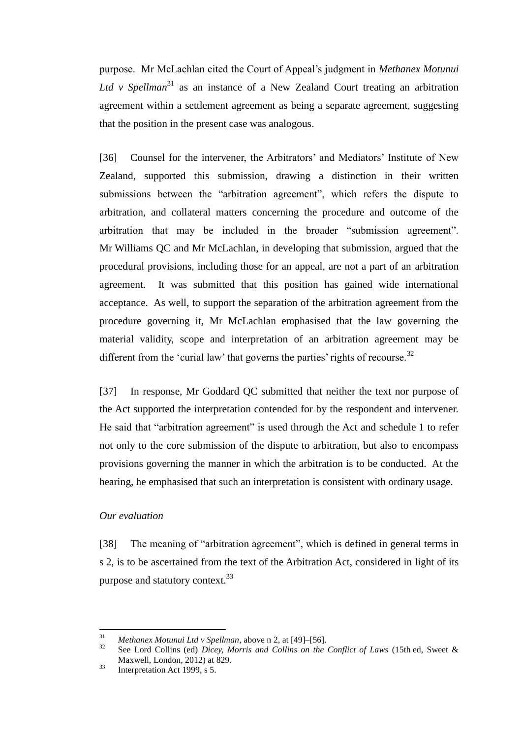purpose. Mr McLachlan cited the Court of Appeal's judgment in *Methanex Motunui Ltd v Spellman*<sup>31</sup> as an instance of a New Zealand Court treating an arbitration agreement within a settlement agreement as being a separate agreement, suggesting that the position in the present case was analogous.

[36] Counsel for the intervener, the Arbitrators' and Mediators' Institute of New Zealand, supported this submission, drawing a distinction in their written submissions between the "arbitration agreement", which refers the dispute to arbitration, and collateral matters concerning the procedure and outcome of the arbitration that may be included in the broader "submission agreement". Mr Williams QC and Mr McLachlan, in developing that submission, argued that the procedural provisions, including those for an appeal, are not a part of an arbitration agreement. It was submitted that this position has gained wide international acceptance. As well, to support the separation of the arbitration agreement from the procedure governing it, Mr McLachlan emphasised that the law governing the material validity, scope and interpretation of an arbitration agreement may be different from the 'curial law' that governs the parties' rights of recourse.<sup>32</sup>

[37] In response, Mr Goddard QC submitted that neither the text nor purpose of the Act supported the interpretation contended for by the respondent and intervener. He said that "arbitration agreement" is used through the Act and schedule 1 to refer not only to the core submission of the dispute to arbitration, but also to encompass provisions governing the manner in which the arbitration is to be conducted. At the hearing, he emphasised that such an interpretation is consistent with ordinary usage.

# *Our evaluation*

<span id="page-16-0"></span>[38] The meaning of "arbitration agreement", which is defined in general terms in s 2, is to be ascertained from the text of the Arbitration Act, considered in light of its purpose and statutory context.<sup>33</sup>

 $31$ <sup>31</sup> *Methanex Motunui Ltd v Spellman, above n [2,](#page-7-0) at [49]–[56].*<br><sup>32</sup> See Land Colling (ad) Diegy *Magnie and Colline an the* 

<sup>32</sup> See Lord Collins (ed) *Dicey, Morris and Collins on the Conflict of Laws* (15th ed, Sweet & Maxwell, London, 2012) at 829.

 $33$  Interpretation Act 1999, s 5.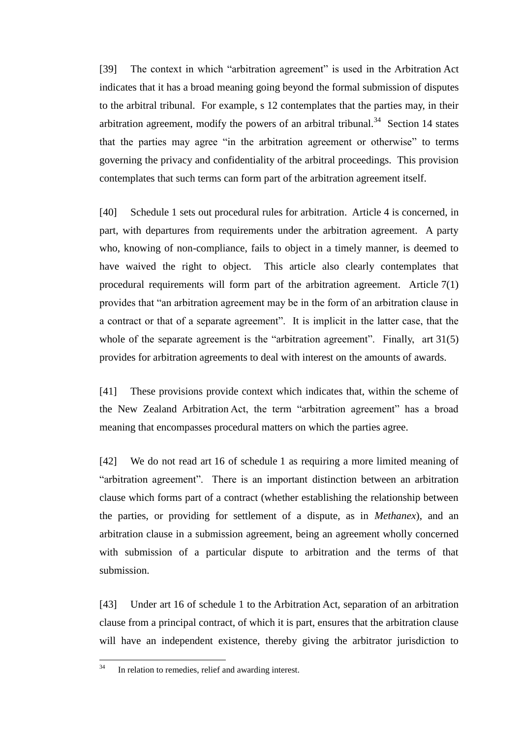[39] The context in which "arbitration agreement" is used in the Arbitration Act indicates that it has a broad meaning going beyond the formal submission of disputes to the arbitral tribunal. For example, s 12 contemplates that the parties may, in their arbitration agreement, modify the powers of an arbitral tribunal.<sup>34</sup> Section 14 states that the parties may agree "in the arbitration agreement or otherwise" to terms governing the privacy and confidentiality of the arbitral proceedings. This provision contemplates that such terms can form part of the arbitration agreement itself.

[40] Schedule 1 sets out procedural rules for arbitration. Article 4 is concerned, in part, with departures from requirements under the arbitration agreement. A party who, knowing of non-compliance, fails to object in a timely manner, is deemed to have waived the right to object. This article also clearly contemplates that procedural requirements will form part of the arbitration agreement. Article 7(1) provides that "an arbitration agreement may be in the form of an arbitration clause in a contract or that of a separate agreement". It is implicit in the latter case, that the whole of the separate agreement is the "arbitration agreement". Finally, art 31(5) provides for arbitration agreements to deal with interest on the amounts of awards.

[41] These provisions provide context which indicates that, within the scheme of the New Zealand Arbitration Act, the term "arbitration agreement" has a broad meaning that encompasses procedural matters on which the parties agree.

[42] We do not read art 16 of schedule 1 as requiring a more limited meaning of "arbitration agreement". There is an important distinction between an arbitration clause which forms part of a contract (whether establishing the relationship between the parties, or providing for settlement of a dispute, as in *Methanex*), and an arbitration clause in a submission agreement, being an agreement wholly concerned with submission of a particular dispute to arbitration and the terms of that submission.

[43] Under art 16 of schedule 1 to the Arbitration Act, separation of an arbitration clause from a principal contract, of which it is part, ensures that the arbitration clause will have an independent existence, thereby giving the arbitrator jurisdiction to

 $34$ In relation to remedies, relief and awarding interest.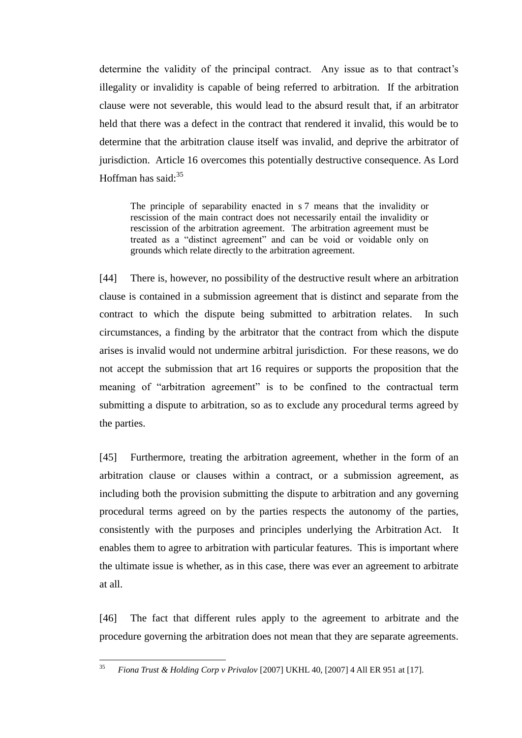determine the validity of the principal contract. Any issue as to that contract's illegality or invalidity is capable of being referred to arbitration. If the arbitration clause were not severable, this would lead to the absurd result that, if an arbitrator held that there was a defect in the contract that rendered it invalid, this would be to determine that the arbitration clause itself was invalid, and deprive the arbitrator of jurisdiction. Article 16 overcomes this potentially destructive consequence. As Lord Hoffman has said: $35$ 

The principle of separability enacted in s 7 means that the invalidity or rescission of the main contract does not necessarily entail the invalidity or rescission of the arbitration agreement. The arbitration agreement must be treated as a "distinct agreement" and can be void or voidable only on grounds which relate directly to the arbitration agreement.

[44] There is, however, no possibility of the destructive result where an arbitration clause is contained in a submission agreement that is distinct and separate from the contract to which the dispute being submitted to arbitration relates. In such circumstances, a finding by the arbitrator that the contract from which the dispute arises is invalid would not undermine arbitral jurisdiction. For these reasons, we do not accept the submission that art 16 requires or supports the proposition that the meaning of "arbitration agreement" is to be confined to the contractual term submitting a dispute to arbitration, so as to exclude any procedural terms agreed by the parties.

[45] Furthermore, treating the arbitration agreement, whether in the form of an arbitration clause or clauses within a contract, or a submission agreement, as including both the provision submitting the dispute to arbitration and any governing procedural terms agreed on by the parties respects the autonomy of the parties, consistently with the purposes and principles underlying the Arbitration Act. It enables them to agree to arbitration with particular features. This is important where the ultimate issue is whether, as in this case, there was ever an agreement to arbitrate at all.

[46] The fact that different rules apply to the agreement to arbitrate and the procedure governing the arbitration does not mean that they are separate agreements.

 $35$ <sup>35</sup> *Fiona Trust & Holding Corp v Privalov* [2007] UKHL 40, [2007] 4 All ER 951 at [17].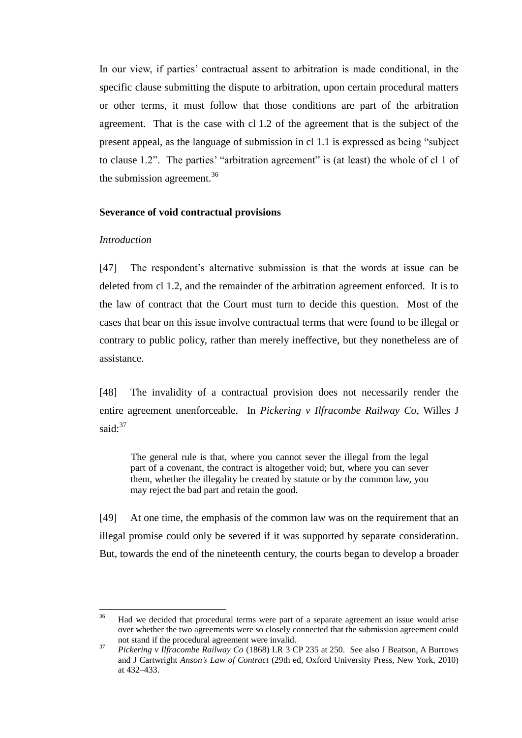In our view, if parties' contractual assent to arbitration is made conditional, in the specific clause submitting the dispute to arbitration, upon certain procedural matters or other terms, it must follow that those conditions are part of the arbitration agreement. That is the case with cl 1.2 of the agreement that is the subject of the present appeal, as the language of submission in cl 1.1 is expressed as being "subject to clause 1.2". The parties' "arbitration agreement" is (at least) the whole of cl 1 of the submission agreement.<sup>36</sup>

#### **Severance of void contractual provisions**

## *Introduction*

<span id="page-19-0"></span>[47] The respondent's alternative submission is that the words at issue can be deleted from cl 1.2, and the remainder of the arbitration agreement enforced. It is to the law of contract that the Court must turn to decide this question. Most of the cases that bear on this issue involve contractual terms that were found to be illegal or contrary to public policy, rather than merely ineffective, but they nonetheless are of assistance.

[48] The invalidity of a contractual provision does not necessarily render the entire agreement unenforceable. In *Pickering v Ilfracombe Railway Co*, Willes J said: $37$ 

The general rule is that, where you cannot sever the illegal from the legal part of a covenant, the contract is altogether void; but, where you can sever them, whether the illegality be created by statute or by the common law, you may reject the bad part and retain the good.

[49] At one time, the emphasis of the common law was on the requirement that an illegal promise could only be severed if it was supported by separate consideration. But, towards the end of the nineteenth century, the courts began to develop a broader

<sup>36</sup> <sup>36</sup> Had we decided that procedural terms were part of a separate agreement an issue would arise over whether the two agreements were so closely connected that the submission agreement could not stand if the procedural agreement were invalid.

<sup>37</sup> *Pickering v Ilfracombe Railway Co* (1868) LR 3 CP 235 at 250. See also J Beatson, A Burrows and J Cartwright *Anson's Law of Contract* (29th ed, Oxford University Press, New York, 2010) at 432–433.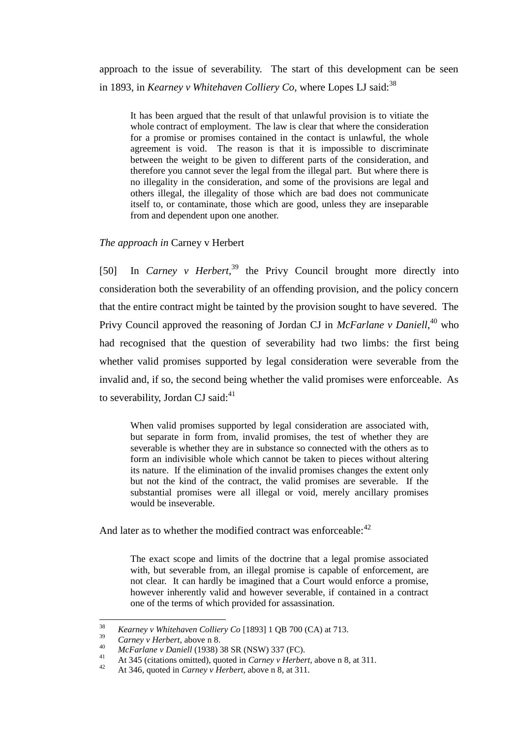approach to the issue of severability. The start of this development can be seen in 1893, in *Kearney v Whitehaven Colliery Co*, where Lopes LJ said:<sup>38</sup>

It has been argued that the result of that unlawful provision is to vitiate the whole contract of employment. The law is clear that where the consideration for a promise or promises contained in the contact is unlawful, the whole agreement is void. The reason is that it is impossible to discriminate between the weight to be given to different parts of the consideration, and therefore you cannot sever the legal from the illegal part. But where there is no illegality in the consideration, and some of the provisions are legal and others illegal, the illegality of those which are bad does not communicate itself to, or contaminate, those which are good, unless they are inseparable from and dependent upon one another.

## *The approach in* Carney v Herbert

<span id="page-20-0"></span>[50] In *Carney v Herbert*,<sup>39</sup> the Privy Council brought more directly into consideration both the severability of an offending provision, and the policy concern that the entire contract might be tainted by the provision sought to have severed. The Privy Council approved the reasoning of Jordan CJ in *McFarlane v Daniell*,<sup>40</sup> who had recognised that the question of severability had two limbs: the first being whether valid promises supported by legal consideration were severable from the invalid and, if so, the second being whether the valid promises were enforceable. As to severability, Jordan CJ said: $41$ 

When valid promises supported by legal consideration are associated with, but separate in form from, invalid promises, the test of whether they are severable is whether they are in substance so connected with the others as to form an indivisible whole which cannot be taken to pieces without altering its nature. If the elimination of the invalid promises changes the extent only but not the kind of the contract, the valid promises are severable. If the substantial promises were all illegal or void, merely ancillary promises would be inseverable.

And later as to whether the modified contract was enforceable:<sup>42</sup>

The exact scope and limits of the doctrine that a legal promise associated with, but severable from, an illegal promise is capable of enforcement, are not clear. It can hardly be imagined that a Court would enforce a promise, however inherently valid and however severable, if contained in a contract one of the terms of which provided for assassination.

 $38$ <sup>38</sup> *Kearney v Whitehaven Colliery Co* [1893] 1 QB 700 (CA) at 713.

<sup>&</sup>lt;sup>39</sup> *Carney v Herbert*, above n [8.](#page-9-2)<br><sup>40</sup> *MeEarlaney Daviell* (1029)

<sup>40</sup> *McFarlane v Daniell* (1938) 38 SR (NSW) 337 (FC).

<sup>41</sup> At 345 (citations omitted), quoted in *Carney v Herbert*, above [n 8,](#page-9-2) at 311.

<sup>42</sup> At 346, quoted in *Carney v Herbert*, above [n 8,](#page-9-2) at 311.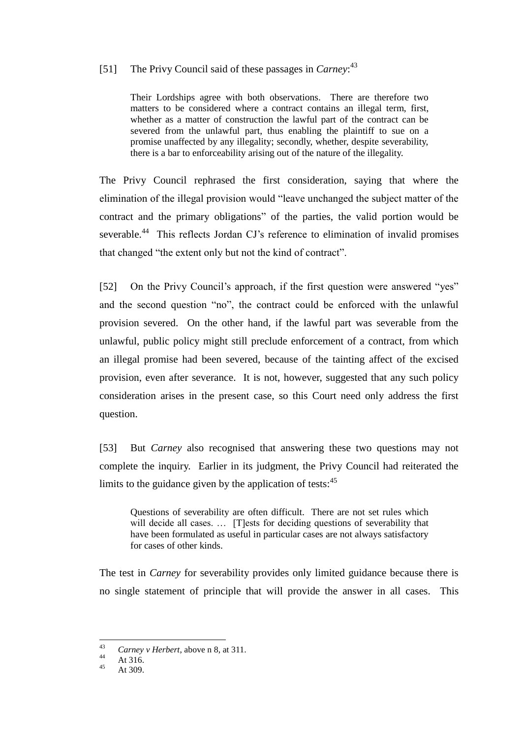# [51] The Privy Council said of these passages in *Carney*: 43

Their Lordships agree with both observations. There are therefore two matters to be considered where a contract contains an illegal term, first, whether as a matter of construction the lawful part of the contract can be severed from the unlawful part, thus enabling the plaintiff to sue on a promise unaffected by any illegality; secondly, whether, despite severability, there is a bar to enforceability arising out of the nature of the illegality.

The Privy Council rephrased the first consideration, saying that where the elimination of the illegal provision would "leave unchanged the subject matter of the contract and the primary obligations" of the parties, the valid portion would be severable.<sup>44</sup> This reflects Jordan CJ's reference to elimination of invalid promises that changed "the extent only but not the kind of contract".

[52] On the Privy Council's approach, if the first question were answered "yes" and the second question "no", the contract could be enforced with the unlawful provision severed. On the other hand, if the lawful part was severable from the unlawful, public policy might still preclude enforcement of a contract, from which an illegal promise had been severed, because of the tainting affect of the excised provision, even after severance. It is not, however, suggested that any such policy consideration arises in the present case, so this Court need only address the first question.

[53] But *Carney* also recognised that answering these two questions may not complete the inquiry. Earlier in its judgment, the Privy Council had reiterated the limits to the guidance given by the application of tests: $45$ 

Questions of severability are often difficult. There are not set rules which will decide all cases. ... [T]ests for deciding questions of severability that have been formulated as useful in particular cases are not always satisfactory for cases of other kinds.

The test in *Carney* for severability provides only limited guidance because there is no single statement of principle that will provide the answer in all cases. This

 $43$ <sup>43</sup> *Carney v Herbert*, above n [8,](#page-9-2) at 311.

 $44$  At 316.

At 309.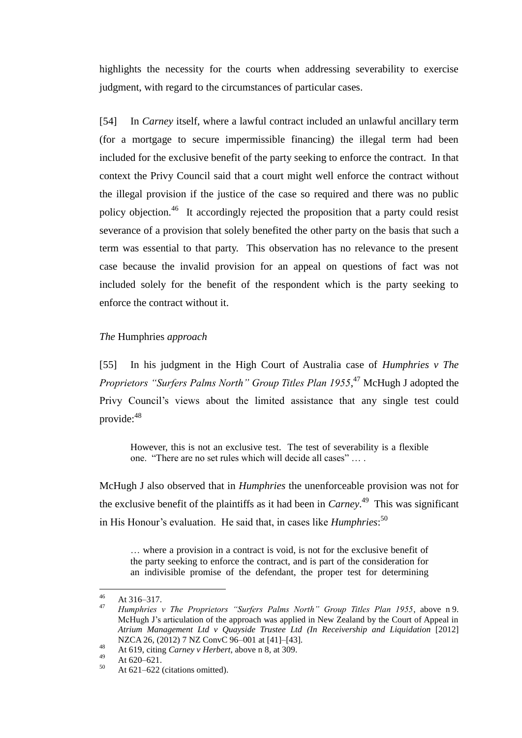highlights the necessity for the courts when addressing severability to exercise judgment, with regard to the circumstances of particular cases.

[54] In *Carney* itself, where a lawful contract included an unlawful ancillary term (for a mortgage to secure impermissible financing) the illegal term had been included for the exclusive benefit of the party seeking to enforce the contract. In that context the Privy Council said that a court might well enforce the contract without the illegal provision if the justice of the case so required and there was no public policy objection.<sup>46</sup> It accordingly rejected the proposition that a party could resist severance of a provision that solely benefited the other party on the basis that such a term was essential to that party. This observation has no relevance to the present case because the invalid provision for an appeal on questions of fact was not included solely for the benefit of the respondent which is the party seeking to enforce the contract without it.

## *The* Humphries *approach*

<span id="page-22-0"></span>[55] In his judgment in the High Court of Australia case of *Humphries v The Proprietors "Surfers Palms North" Group Titles Plan 1955*, <sup>47</sup> McHugh J adopted the Privy Council's views about the limited assistance that any single test could provide:<sup>48</sup>

However, this is not an exclusive test. The test of severability is a flexible one. "There are no set rules which will decide all cases" … .

McHugh J also observed that in *Humphries* the unenforceable provision was not for the exclusive benefit of the plaintiffs as it had been in *Carney*. 49 This was significant in His Honour's evaluation. He said that, in cases like *Humphries*: 50

… where a provision in a contract is void, is not for the exclusive benefit of the party seeking to enforce the contract, and is part of the consideration for an indivisible promise of the defendant, the proper test for determining

<sup>46</sup>  $46$  At 316–317.

<sup>47</sup> *Humphries v The Proprietors "Surfers Palms North" Group Titles Plan 1955*, above n [9.](#page-10-0) McHugh J's articulation of the approach was applied in New Zealand by the Court of Appeal in *Atrium Management Ltd v Quayside Trustee Ltd (In Receivership and Liquidation* [2012] NZCA 26, (2012) 7 NZ ConvC 96–001 at [41]–[43].

<sup>48</sup> At 619, citing *Carney v Herbert*, above n [8,](#page-9-2) at 309.

 $49$  At 620–621.

At 621–622 (citations omitted).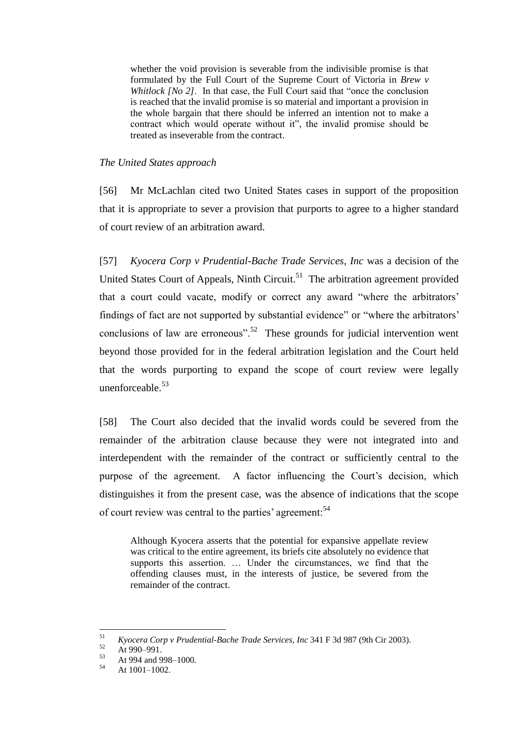whether the void provision is severable from the indivisible promise is that formulated by the Full Court of the Supreme Court of Victoria in *Brew v Whitlock [No 2]*. In that case, the Full Court said that "once the conclusion" is reached that the invalid promise is so material and important a provision in the whole bargain that there should be inferred an intention not to make a contract which would operate without it", the invalid promise should be treated as inseverable from the contract.

## *The United States approach*

<span id="page-23-0"></span>[56] Mr McLachlan cited two United States cases in support of the proposition that it is appropriate to sever a provision that purports to agree to a higher standard of court review of an arbitration award.

[57] *Kyocera Corp v Prudential-Bache Trade Services, Inc* was a decision of the United States Court of Appeals, Ninth Circuit.<sup>51</sup> The arbitration agreement provided that a court could vacate, modify or correct any award "where the arbitrators' findings of fact are not supported by substantial evidence" or "where the arbitrators' conclusions of law are erroneous".<sup>52</sup> These grounds for judicial intervention went beyond those provided for in the federal arbitration legislation and the Court held that the words purporting to expand the scope of court review were legally unenforceable.<sup>53</sup>

[58] The Court also decided that the invalid words could be severed from the remainder of the arbitration clause because they were not integrated into and interdependent with the remainder of the contract or sufficiently central to the purpose of the agreement. A factor influencing the Court's decision, which distinguishes it from the present case, was the absence of indications that the scope of court review was central to the parties' agreement:<sup>54</sup>

Although Kyocera asserts that the potential for expansive appellate review was critical to the entire agreement, its briefs cite absolutely no evidence that supports this assertion. … Under the circumstances, we find that the offending clauses must, in the interests of justice, be severed from the remainder of the contract.

 $51\,$ <sup>51</sup> *Kyocera Corp v Prudential-Bache Trade Services, Inc* 341 F 3d 987 (9th Cir 2003).

 $52$  At 990–991.

 $53$  At 994 and 998–1000.

At  $1001-1002$ .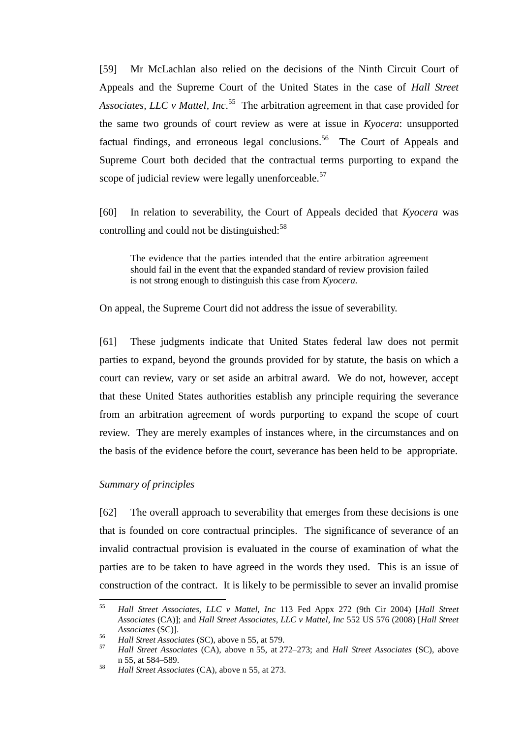<span id="page-24-1"></span>[59] Mr McLachlan also relied on the decisions of the Ninth Circuit Court of Appeals and the Supreme Court of the United States in the case of *Hall Street*  Associates, LLC v Mattel, Inc.<sup>55</sup> The arbitration agreement in that case provided for the same two grounds of court review as were at issue in *Kyocera*: unsupported factual findings, and erroneous legal conclusions.<sup>56</sup> The Court of Appeals and Supreme Court both decided that the contractual terms purporting to expand the scope of judicial review were legally unenforceable.<sup>57</sup>

[60] In relation to severability, the Court of Appeals decided that *Kyocera* was controlling and could not be distinguished: $58$ 

The evidence that the parties intended that the entire arbitration agreement should fail in the event that the expanded standard of review provision failed is not strong enough to distinguish this case from *Kyocera.*

On appeal, the Supreme Court did not address the issue of severability.

[61] These judgments indicate that United States federal law does not permit parties to expand, beyond the grounds provided for by statute, the basis on which a court can review, vary or set aside an arbitral award. We do not, however, accept that these United States authorities establish any principle requiring the severance from an arbitration agreement of words purporting to expand the scope of court review. They are merely examples of instances where, in the circumstances and on the basis of the evidence before the court, severance has been held to be appropriate.

# *Summary of principles*

<span id="page-24-0"></span>[62] The overall approach to severability that emerges from these decisions is one that is founded on core contractual principles. The significance of severance of an invalid contractual provision is evaluated in the course of examination of what the parties are to be taken to have agreed in the words they used. This is an issue of construction of the contract. It is likely to be permissible to sever an invalid promise

<sup>55</sup> <sup>55</sup> *Hall Street Associates, LLC v Mattel, Inc* 113 Fed Appx 272 (9th Cir 2004) [*Hall Street Associates* (CA)]; and *Hall Street Associates, LLC v Mattel, Inc* 552 US 576 (2008) [*Hall Street Associates* (SC)].

<sup>56</sup> *Hall Street Associates* (SC), above n [55,](#page-24-1) at 579.

<sup>57</sup> *Hall Street Associates* (CA), above n [55,](#page-24-1) at 272–273; and *Hall Street Associates* (SC), above n [55,](#page-24-1) at 584–589.

<sup>58</sup> *Hall Street Associates* (CA), above n [55,](#page-24-1) at 273.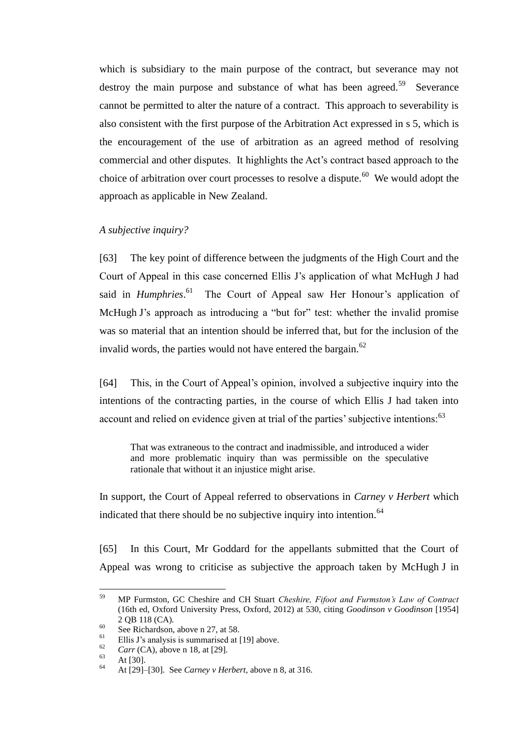which is subsidiary to the main purpose of the contract, but severance may not destroy the main purpose and substance of what has been agreed.<sup>59</sup> Severance cannot be permitted to alter the nature of a contract. This approach to severability is also consistent with the first purpose of the Arbitration Act expressed in s 5, which is the encouragement of the use of arbitration as an agreed method of resolving commercial and other disputes. It highlights the Act's contract based approach to the choice of arbitration over court processes to resolve a dispute.<sup>60</sup> We would adopt the approach as applicable in New Zealand.

*A subjective inquiry?*

<span id="page-25-0"></span>[63] The key point of difference between the judgments of the High Court and the Court of Appeal in this case concerned Ellis J's application of what McHugh J had said in *Humphries*.<sup>61</sup> The Court of Appeal saw Her Honour's application of McHugh J's approach as introducing a "but for" test: whether the invalid promise was so material that an intention should be inferred that, but for the inclusion of the invalid words, the parties would not have entered the bargain. $62$ 

[64] This, in the Court of Appeal's opinion, involved a subjective inquiry into the intentions of the contracting parties, in the course of which Ellis J had taken into account and relied on evidence given at trial of the parties' subjective intentions:<sup>63</sup>

That was extraneous to the contract and inadmissible, and introduced a wider and more problematic inquiry than was permissible on the speculative rationale that without it an injustice might arise.

In support, the Court of Appeal referred to observations in *Carney v Herbert* which indicated that there should be no subjective inquiry into intention.<sup>64</sup>

[65] In this Court, Mr Goddard for the appellants submitted that the Court of Appeal was wrong to criticise as subjective the approach taken by McHugh J in

<sup>59</sup> <sup>59</sup> MP Furmston, GC Cheshire and CH Stuart *Cheshire, Fifoot and Furmston's Law of Contract* (16th ed, Oxford University Press, Oxford, 2012) at 530, citing *Goodinson v Goodinson* [1954] 2 QB 118 (CA)*.*

 $\frac{60}{61}$  See Richardson, above n [27,](#page-14-0) at 58.

<sup>&</sup>lt;sup>61</sup> Ellis J's analysis is summarised at [\[19\]](#page-9-0) above.

 $\frac{62}{63}$  *Carr* (CA), above n [18,](#page-11-1) at [29].

 $\frac{63}{64}$  At [30].

<sup>64</sup> At [29]–[30]. See *Carney v Herbert*, above n [8,](#page-9-2) at 316.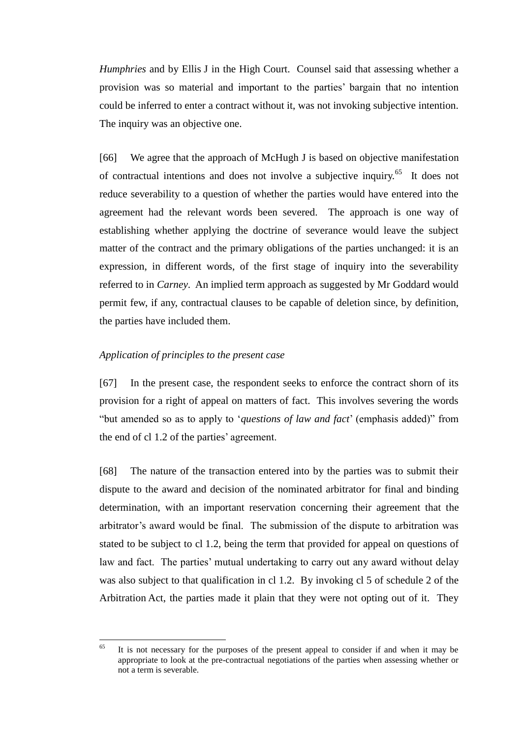*Humphries* and by Ellis J in the High Court. Counsel said that assessing whether a provision was so material and important to the parties' bargain that no intention could be inferred to enter a contract without it, was not invoking subjective intention. The inquiry was an objective one.

[66] We agree that the approach of McHugh J is based on objective manifestation of contractual intentions and does not involve a subjective inquiry.<sup>65</sup> It does not reduce severability to a question of whether the parties would have entered into the agreement had the relevant words been severed. The approach is one way of establishing whether applying the doctrine of severance would leave the subject matter of the contract and the primary obligations of the parties unchanged: it is an expression, in different words, of the first stage of inquiry into the severability referred to in *Carney*. An implied term approach as suggested by Mr Goddard would permit few, if any, contractual clauses to be capable of deletion since, by definition, the parties have included them.

# *Application of principles to the present case*

<span id="page-26-0"></span>[67] In the present case, the respondent seeks to enforce the contract shorn of its provision for a right of appeal on matters of fact. This involves severing the words "but amended so as to apply to '*questions of law and fact*' (emphasis added)" from the end of cl 1.2 of the parties' agreement.

[68] The nature of the transaction entered into by the parties was to submit their dispute to the award and decision of the nominated arbitrator for final and binding determination, with an important reservation concerning their agreement that the arbitrator's award would be final. The submission of the dispute to arbitration was stated to be subject to cl 1.2, being the term that provided for appeal on questions of law and fact. The parties' mutual undertaking to carry out any award without delay was also subject to that qualification in cl 1.2. By invoking cl 5 of schedule 2 of the Arbitration Act, the parties made it plain that they were not opting out of it. They

<sup>65</sup> It is not necessary for the purposes of the present appeal to consider if and when it may be appropriate to look at the pre-contractual negotiations of the parties when assessing whether or not a term is severable.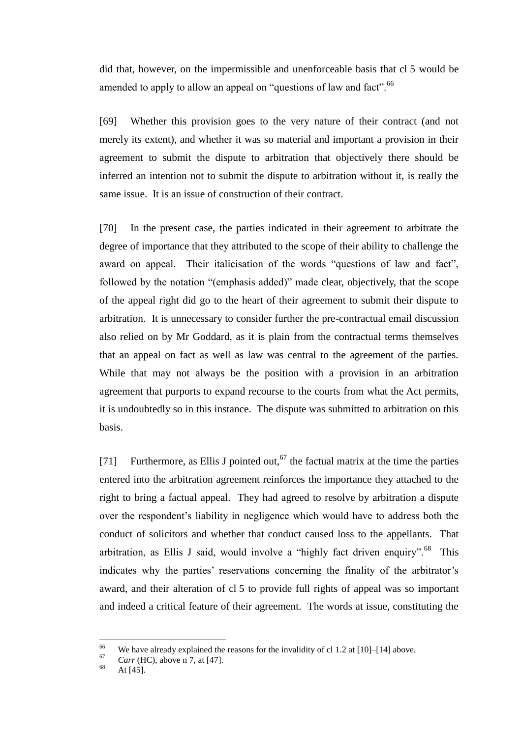did that, however, on the impermissible and unenforceable basis that cl 5 would be amended to apply to allow an appeal on "questions of law and fact".<sup>66</sup>

[69] Whether this provision goes to the very nature of their contract (and not merely its extent), and whether it was so material and important a provision in their agreement to submit the dispute to arbitration that objectively there should be inferred an intention not to submit the dispute to arbitration without it, is really the same issue. It is an issue of construction of their contract.

[70] In the present case, the parties indicated in their agreement to arbitrate the degree of importance that they attributed to the scope of their ability to challenge the award on appeal. Their italicisation of the words "questions of law and fact", followed by the notation "(emphasis added)" made clear, objectively, that the scope of the appeal right did go to the heart of their agreement to submit their dispute to arbitration. It is unnecessary to consider further the pre-contractual email discussion also relied on by Mr Goddard, as it is plain from the contractual terms themselves that an appeal on fact as well as law was central to the agreement of the parties. While that may not always be the position with a provision in an arbitration agreement that purports to expand recourse to the courts from what the Act permits, it is undoubtedly so in this instance. The dispute was submitted to arbitration on this basis.

[71] Furthermore, as Ellis J pointed out,  $67$  the factual matrix at the time the parties entered into the arbitration agreement reinforces the importance they attached to the right to bring a factual appeal. They had agreed to resolve by arbitration a dispute over the respondent's liability in negligence which would have to address both the conduct of solicitors and whether that conduct caused loss to the appellants. That arbitration, as Ellis J said, would involve a "highly fact driven enquiry".<sup>68</sup> This indicates why the parties' reservations concerning the finality of the arbitrator's award, and their alteration of cl 5 to provide full rights of appeal was so important and indeed a critical feature of their agreement. The words at issue, constituting the

<sup>66</sup> <sup>66</sup> We have already explained the reasons for the invalidity of cl 1.2 at [\[10\]](#page-4-0)[–\[14\]](#page-8-1) above.

 $\frac{67}{68}$  *Carr* (HC), above n [7,](#page-9-1) at [47].

At  $[45]$ .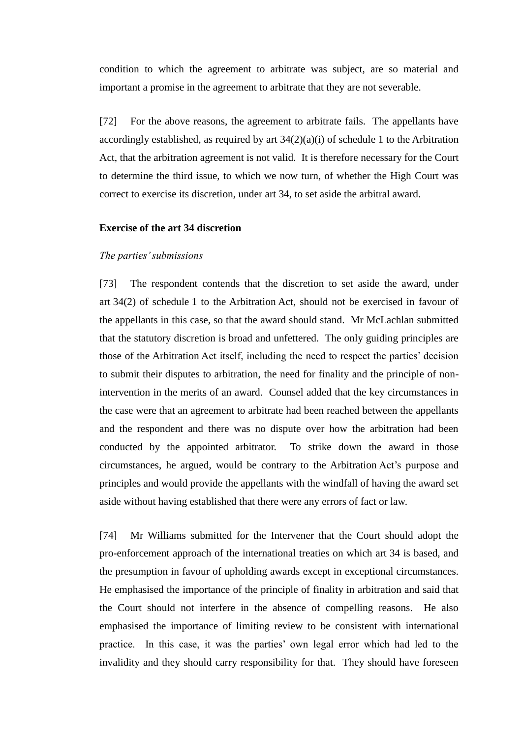condition to which the agreement to arbitrate was subject, are so material and important a promise in the agreement to arbitrate that they are not severable.

[72] For the above reasons, the agreement to arbitrate fails. The appellants have accordingly established, as required by art  $34(2)(a)(i)$  of schedule 1 to the Arbitration Act, that the arbitration agreement is not valid. It is therefore necessary for the Court to determine the third issue, to which we now turn, of whether the High Court was correct to exercise its discretion, under art 34, to set aside the arbitral award.

# **Exercise of the art 34 discretion**

#### *The parties' submissions*

<span id="page-28-0"></span>[73] The respondent contends that the discretion to set aside the award, under art 34(2) of schedule 1 to the Arbitration Act, should not be exercised in favour of the appellants in this case, so that the award should stand. Mr McLachlan submitted that the statutory discretion is broad and unfettered. The only guiding principles are those of the Arbitration Act itself, including the need to respect the parties' decision to submit their disputes to arbitration, the need for finality and the principle of nonintervention in the merits of an award. Counsel added that the key circumstances in the case were that an agreement to arbitrate had been reached between the appellants and the respondent and there was no dispute over how the arbitration had been conducted by the appointed arbitrator. To strike down the award in those circumstances, he argued, would be contrary to the Arbitration Act's purpose and principles and would provide the appellants with the windfall of having the award set aside without having established that there were any errors of fact or law.

[74] Mr Williams submitted for the Intervener that the Court should adopt the pro-enforcement approach of the international treaties on which art 34 is based, and the presumption in favour of upholding awards except in exceptional circumstances. He emphasised the importance of the principle of finality in arbitration and said that the Court should not interfere in the absence of compelling reasons. He also emphasised the importance of limiting review to be consistent with international practice. In this case, it was the parties' own legal error which had led to the invalidity and they should carry responsibility for that. They should have foreseen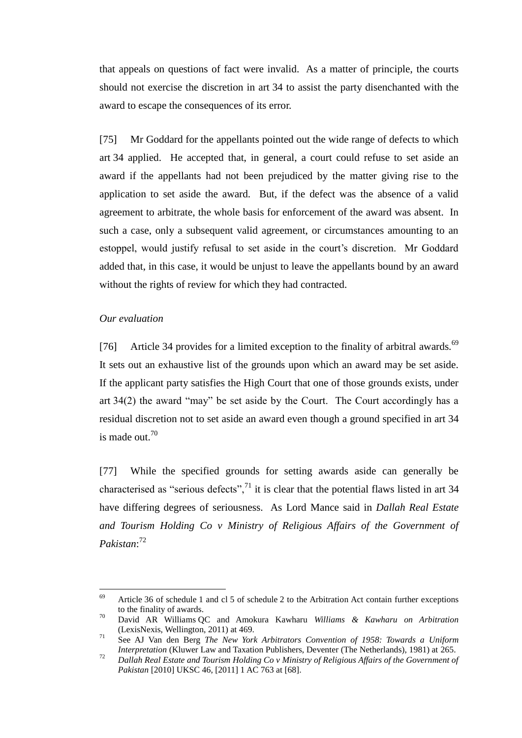that appeals on questions of fact were invalid. As a matter of principle, the courts should not exercise the discretion in art 34 to assist the party disenchanted with the award to escape the consequences of its error.

[75] Mr Goddard for the appellants pointed out the wide range of defects to which art 34 applied. He accepted that, in general, a court could refuse to set aside an award if the appellants had not been prejudiced by the matter giving rise to the application to set aside the award. But, if the defect was the absence of a valid agreement to arbitrate, the whole basis for enforcement of the award was absent. In such a case, only a subsequent valid agreement, or circumstances amounting to an estoppel, would justify refusal to set aside in the court's discretion. Mr Goddard added that, in this case, it would be unjust to leave the appellants bound by an award without the rights of review for which they had contracted.

#### *Our evaluation*

 $\overline{a}$ 

<span id="page-29-0"></span>[76] Article 34 provides for a limited exception to the finality of arbitral awards. $69$ It sets out an exhaustive list of the grounds upon which an award may be set aside. If the applicant party satisfies the High Court that one of those grounds exists, under art 34(2) the award "may" be set aside by the Court. The Court accordingly has a residual discretion not to set aside an award even though a ground specified in art 34 is made out.<sup>70</sup>

<span id="page-29-1"></span>[77] While the specified grounds for setting awards aside can generally be characterised as "serious defects",<sup>71</sup> it is clear that the potential flaws listed in art 34 have differing degrees of seriousness. As Lord Mance said in *Dallah Real Estate and Tourism Holding Co v Ministry of Religious Affairs of the Government of Pakistan*: 72

 $69$  Article 36 of schedule 1 and cl 5 of schedule 2 to the Arbitration Act contain further exceptions to the finality of awards.

<sup>70</sup> David AR Williams QC and Amokura Kawharu *Williams & Kawharu on Arbitration* (LexisNexis, Wellington, 2011) at 469.

<sup>71</sup> See AJ Van den Berg *The New York Arbitrators Convention of 1958: Towards a Uniform Interpretation* (Kluwer Law and Taxation Publishers, Deventer (The Netherlands), 1981) at 265.

<sup>72</sup> *Dallah Real Estate and Tourism Holding Co v Ministry of Religious Affairs of the Government of Pakistan* [2010] UKSC 46, [2011] 1 AC 763 at [68].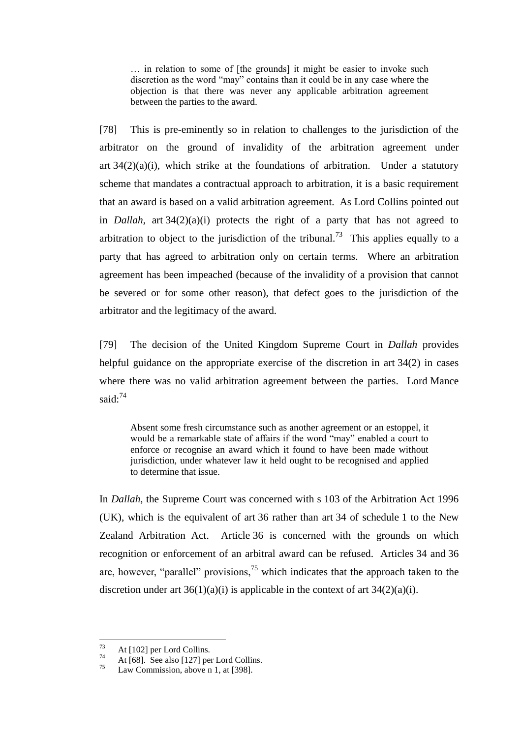… in relation to some of [the grounds] it might be easier to invoke such discretion as the word "may" contains than it could be in any case where the objection is that there was never any applicable arbitration agreement between the parties to the award.

[78] This is pre-eminently so in relation to challenges to the jurisdiction of the arbitrator on the ground of invalidity of the arbitration agreement under art  $34(2)(a)(i)$ , which strike at the foundations of arbitration. Under a statutory scheme that mandates a contractual approach to arbitration, it is a basic requirement that an award is based on a valid arbitration agreement. As Lord Collins pointed out in *Dallah*, art 34(2)(a)(i) protects the right of a party that has not agreed to arbitration to object to the jurisdiction of the tribunal.<sup>73</sup> This applies equally to a party that has agreed to arbitration only on certain terms. Where an arbitration agreement has been impeached (because of the invalidity of a provision that cannot be severed or for some other reason), that defect goes to the jurisdiction of the arbitrator and the legitimacy of the award.

<span id="page-30-0"></span>[79] The decision of the United Kingdom Supreme Court in *Dallah* provides helpful guidance on the appropriate exercise of the discretion in art 34(2) in cases where there was no valid arbitration agreement between the parties. Lord Mance said: $74$ 

Absent some fresh circumstance such as another agreement or an estoppel, it would be a remarkable state of affairs if the word "may" enabled a court to enforce or recognise an award which it found to have been made without jurisdiction, under whatever law it held ought to be recognised and applied to determine that issue.

In *Dallah*, the Supreme Court was concerned with s 103 of the Arbitration Act 1996 (UK), which is the equivalent of art 36 rather than art 34 of schedule 1 to the New Zealand Arbitration Act. Article 36 is concerned with the grounds on which recognition or enforcement of an arbitral award can be refused. Articles 34 and 36 are, however, "parallel" provisions, $<sup>75</sup>$  which indicates that the approach taken to the</sup> discretion under art  $36(1)(a)(i)$  is applicable in the context of art  $34(2)(a)(i)$ .

<sup>73</sup>  $73$  At [102] per Lord Collins.

<sup>&</sup>lt;sup>74</sup> At [68]. See also [127] per Lord Collins.<br><sup>75</sup> Low Commission above a 1 at [208]

Law Commission, above n [1,](#page-6-1) at [398].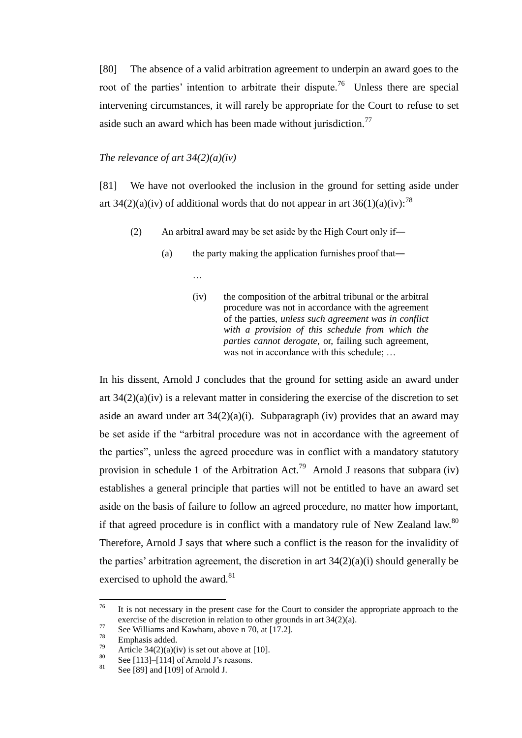<span id="page-31-1"></span>[80] The absence of a valid arbitration agreement to underpin an award goes to the root of the parties' intention to arbitrate their dispute.<sup>76</sup> Unless there are special intervening circumstances, it will rarely be appropriate for the Court to refuse to set aside such an award which has been made without jurisdiction.<sup>77</sup>

## *The relevance of art 34(2)(a)(iv)*

<span id="page-31-0"></span>[81] We have not overlooked the inclusion in the ground for setting aside under art 34(2)(a)(iv) of additional words that do not appear in art 36(1)(a)(iv):<sup>78</sup>

- (2) An arbitral award may be set aside by the High Court only if―
	- (a) the party making the application furnishes proof that―
		- …
		- (iv) the composition of the arbitral tribunal or the arbitral procedure was not in accordance with the agreement of the parties, *unless such agreement was in conflict with a provision of this schedule from which the parties cannot derogate,* or, failing such agreement, was not in accordance with this schedule; ...

In his dissent, Arnold J concludes that the ground for setting aside an award under art 34(2)(a)(iv) is a relevant matter in considering the exercise of the discretion to set aside an award under art  $34(2)(a)(i)$ . Subparagraph (iv) provides that an award may be set aside if the "arbitral procedure was not in accordance with the agreement of the parties", unless the agreed procedure was in conflict with a mandatory statutory provision in schedule 1 of the Arbitration Act.<sup>79</sup> Arnold J reasons that subpara (iv) establishes a general principle that parties will not be entitled to have an award set aside on the basis of failure to follow an agreed procedure, no matter how important, if that agreed procedure is in conflict with a mandatory rule of New Zealand law.<sup>80</sup> Therefore, Arnold J says that where such a conflict is the reason for the invalidity of the parties' arbitration agreement, the discretion in art  $34(2)(a)(i)$  should generally be exercised to uphold the award.<sup>81</sup>

<sup>76</sup> It is not necessary in the present case for the Court to consider the appropriate approach to the exercise of the discretion in relation to other grounds in art 34(2)(a).

 $\frac{77}{78}$  See Williams and Kawharu, above [n 70,](#page-29-1) at [17.2].

 $^{78}$  Emphasis added.

<sup>&</sup>lt;sup>79</sup> Article 34(2)(a)(iv) is set out above at [\[10\].](#page-4-0)<br><sup>80</sup> See [112] [114] of Armald *Penaggan* 

<sup>&</sup>lt;sup>80</sup> Se[e \[113\]–](#page-45-0)[\[114\]](#page-46-0) of Arnold J's reasons.

Se[e \[89\]](#page-34-0) an[d \[109\]](#page-43-0) of Arnold J.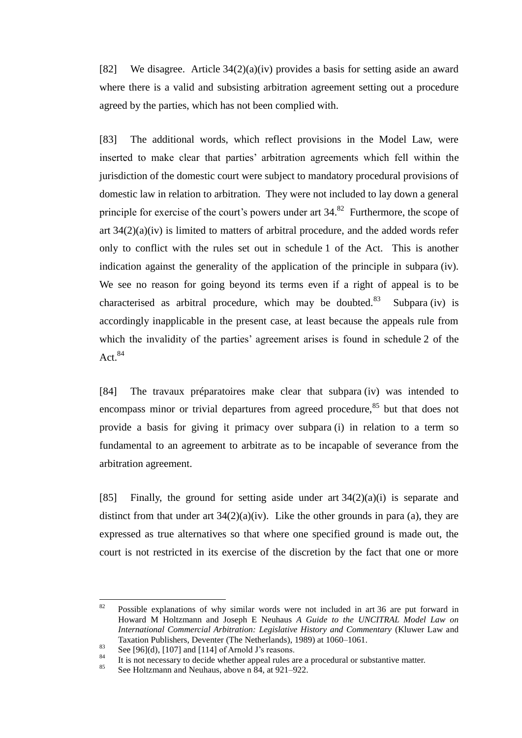<span id="page-32-1"></span>[82] We disagree. Article 34(2)(a)(iv) provides a basis for setting aside an award where there is a valid and subsisting arbitration agreement setting out a procedure agreed by the parties, which has not been complied with.

[83] The additional words, which reflect provisions in the Model Law, were inserted to make clear that parties' arbitration agreements which fell within the jurisdiction of the domestic court were subject to mandatory procedural provisions of domestic law in relation to arbitration. They were not included to lay down a general principle for exercise of the court's powers under art  $34$ <sup>82</sup> Furthermore, the scope of art 34(2)(a)(iv) is limited to matters of arbitral procedure, and the added words refer only to conflict with the rules set out in schedule 1 of the Act. This is another indication against the generality of the application of the principle in subpara (iv). We see no reason for going beyond its terms even if a right of appeal is to be characterised as arbitral procedure, which may be doubted. $83$  Subpara (iv) is accordingly inapplicable in the present case, at least because the appeals rule from which the invalidity of the parties' agreement arises is found in schedule 2 of the Act. $84$ 

<span id="page-32-0"></span>[84] The travaux préparatoires make clear that subpara (iv) was intended to encompass minor or trivial departures from agreed procedure,<sup>85</sup> but that does not provide a basis for giving it primacy over subpara (i) in relation to a term so fundamental to an agreement to arbitrate as to be incapable of severance from the arbitration agreement.

[85] Finally, the ground for setting aside under art  $34(2)(a)(i)$  is separate and distinct from that under art  $34(2)(a)(iv)$ . Like the other grounds in para (a), they are expressed as true alternatives so that where one specified ground is made out, the court is not restricted in its exercise of the discretion by the fact that one or more

<sup>82</sup> Possible explanations of why similar words were not included in art 36 are put forward in Howard M Holtzmann and Joseph E Neuhaus *A Guide to the UNCITRAL Model Law on International Commercial Arbitration: Legislative History and Commentary* (Kluwer Law and Taxation Publishers, Deventer (The Netherlands), 1989) at 1060–1061.

<sup>83</sup> See  $[96](d)$ ,  $[107]$  and  $[114]$  of Arnold J's reasons.<br>84 See  $[96](d)$ ,  $[107]$  and  $[114]$  of Arnold J's reasons.

<sup>&</sup>lt;sup>84</sup> It is not necessary to decide whether appeal rules are a procedural or substantive matter.<br><sup>85</sup> See Heltzmann and Naubous, above n  $84,$  at 021, 022

See Holtzmann and Neuhaus, above n [84,](#page-32-0) at 921–922.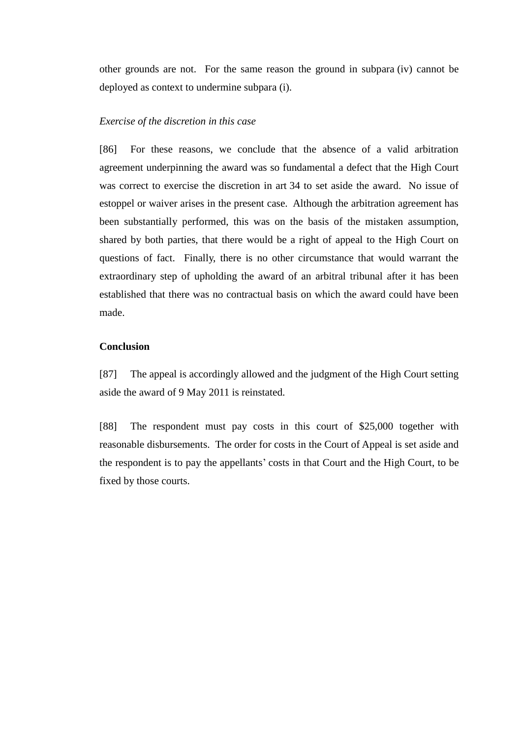other grounds are not. For the same reason the ground in subpara (iv) cannot be deployed as context to undermine subpara (i).

## *Exercise of the discretion in this case*

<span id="page-33-0"></span>[86] For these reasons, we conclude that the absence of a valid arbitration agreement underpinning the award was so fundamental a defect that the High Court was correct to exercise the discretion in art 34 to set aside the award. No issue of estoppel or waiver arises in the present case. Although the arbitration agreement has been substantially performed, this was on the basis of the mistaken assumption, shared by both parties, that there would be a right of appeal to the High Court on questions of fact. Finally, there is no other circumstance that would warrant the extraordinary step of upholding the award of an arbitral tribunal after it has been established that there was no contractual basis on which the award could have been made.

#### **Conclusion**

<span id="page-33-1"></span>[87] The appeal is accordingly allowed and the judgment of the High Court setting aside the award of 9 May 2011 is reinstated.

[88] The respondent must pay costs in this court of \$25,000 together with reasonable disbursements. The order for costs in the Court of Appeal is set aside and the respondent is to pay the appellants' costs in that Court and the High Court, to be fixed by those courts.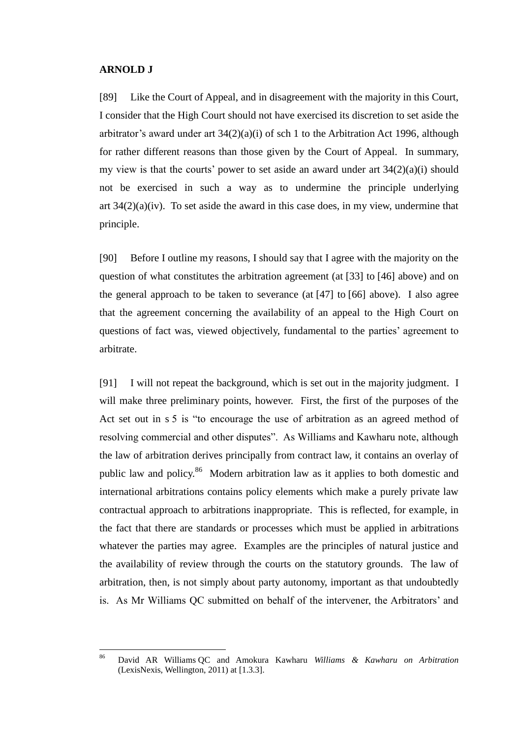#### <span id="page-34-0"></span>**ARNOLD J**

[89] Like the Court of Appeal, and in disagreement with the majority in this Court, I consider that the High Court should not have exercised its discretion to set aside the arbitrator's award under art  $34(2)(a)(i)$  of sch 1 to the Arbitration Act 1996, although for rather different reasons than those given by the Court of Appeal. In summary, my view is that the courts' power to set aside an award under art 34(2)(a)(i) should not be exercised in such a way as to undermine the principle underlying art 34(2)(a)(iv). To set aside the award in this case does, in my view, undermine that principle.

[90] Before I outline my reasons, I should say that I agree with the majority on the question of what constitutes the arbitration agreement (at [33] to [46] above) and on the general approach to be taken to severance (at [47] to [66] above). I also agree that the agreement concerning the availability of an appeal to the High Court on questions of fact was, viewed objectively, fundamental to the parties' agreement to arbitrate.

<span id="page-34-1"></span>[91] I will not repeat the background, which is set out in the majority judgment. I will make three preliminary points, however. First, the first of the purposes of the Act set out in s 5 is "to encourage the use of arbitration as an agreed method of resolving commercial and other disputes". As Williams and Kawharu note, although the law of arbitration derives principally from contract law, it contains an overlay of public law and policy.<sup>86</sup> Modern arbitration law as it applies to both domestic and international arbitrations contains policy elements which make a purely private law contractual approach to arbitrations inappropriate. This is reflected, for example, in the fact that there are standards or processes which must be applied in arbitrations whatever the parties may agree. Examples are the principles of natural justice and the availability of review through the courts on the statutory grounds. The law of arbitration, then, is not simply about party autonomy, important as that undoubtedly is. As Mr Williams QC submitted on behalf of the intervener, the Arbitrators' and

<sup>86</sup> <sup>86</sup> David AR Williams QC and Amokura Kawharu *Williams & Kawharu on Arbitration* (LexisNexis, Wellington, 2011) at [1.3.3].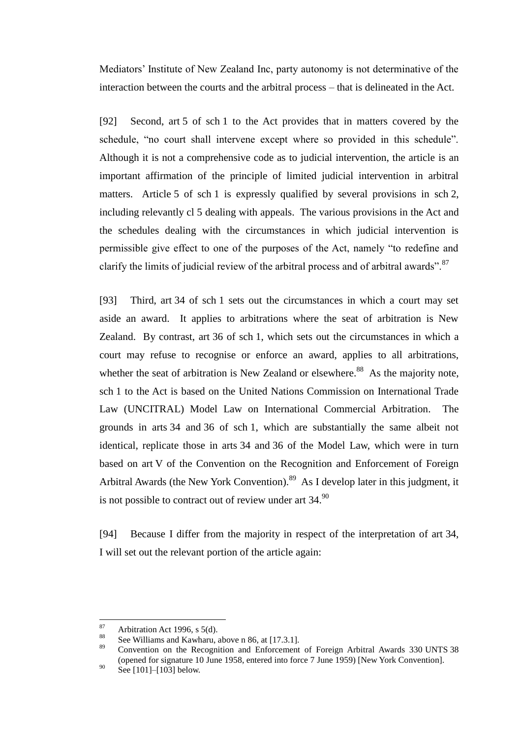Mediators' Institute of New Zealand Inc, party autonomy is not determinative of the interaction between the courts and the arbitral process – that is delineated in the Act.

[92] Second, art 5 of sch 1 to the Act provides that in matters covered by the schedule, "no court shall intervene except where so provided in this schedule". Although it is not a comprehensive code as to judicial intervention, the article is an important affirmation of the principle of limited judicial intervention in arbitral matters. Article 5 of sch 1 is expressly qualified by several provisions in sch 2, including relevantly cl 5 dealing with appeals. The various provisions in the Act and the schedules dealing with the circumstances in which judicial intervention is permissible give effect to one of the purposes of the Act, namely "to redefine and clarify the limits of judicial review of the arbitral process and of arbitral awards".<sup>87</sup>

[93] Third, art 34 of sch 1 sets out the circumstances in which a court may set aside an award. It applies to arbitrations where the seat of arbitration is New Zealand. By contrast, art 36 of sch 1, which sets out the circumstances in which a court may refuse to recognise or enforce an award, applies to all arbitrations, whether the seat of arbitration is New Zealand or elsewhere.<sup>88</sup> As the majority note, sch 1 to the Act is based on the United Nations Commission on International Trade Law (UNCITRAL) Model Law on International Commercial Arbitration. The grounds in arts 34 and 36 of sch 1, which are substantially the same albeit not identical, replicate those in arts 34 and 36 of the Model Law, which were in turn based on art V of the Convention on the Recognition and Enforcement of Foreign Arbitral Awards (the New York Convention).<sup>89</sup> As I develop later in this judgment, it is not possible to contract out of review under art  $34.90$ 

[94] Because I differ from the majority in respect of the interpretation of art 34, I will set out the relevant portion of the article again:

<sup>89</sup> Convention on the Recognition and Enforcement of Foreign Arbitral Awards 330 UNTS 38 (opened for signature 10 June 1958, entered into force 7 June 1959) [New York Convention].

<sup>87</sup> 87 Arbitration Act 1996, s 5(d).

<sup>&</sup>lt;sup>88</sup> See Williams and Kawharu, above [n 86,](#page-34-1) at [17.3.1].

 $^{90}$  Se[e \[101\]–](#page-41-0)[\[103\]](#page-41-1) below.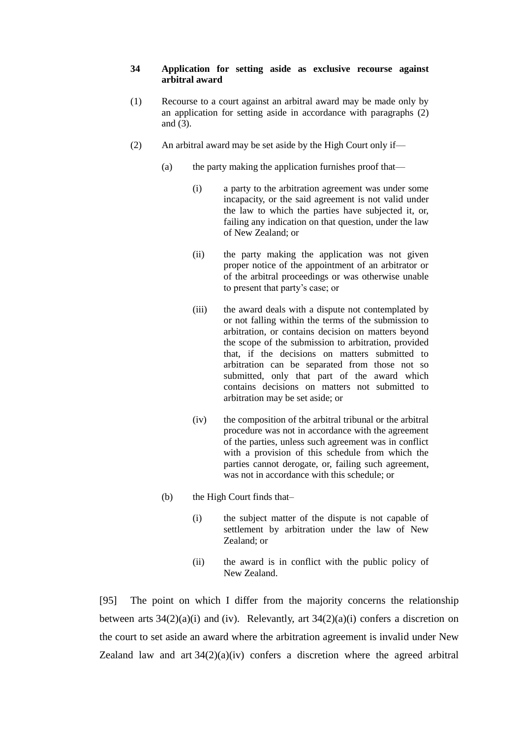#### **34 Application for setting aside as exclusive recourse against arbitral award**

- (1) Recourse to a court against an arbitral award may be made only by an application for setting aside in accordance with paragraphs (2) and (3).
- (2) An arbitral award may be set aside by the High Court only if—
	- (a) the party making the application furnishes proof that—
		- (i) a party to the arbitration agreement was under some incapacity, or the said agreement is not valid under the law to which the parties have subjected it, or, failing any indication on that question, under the law of New Zealand; or
		- (ii) the party making the application was not given proper notice of the appointment of an arbitrator or of the arbitral proceedings or was otherwise unable to present that party's case; or
		- (iii) the award deals with a dispute not contemplated by or not falling within the terms of the submission to arbitration, or contains decision on matters beyond the scope of the submission to arbitration, provided that, if the decisions on matters submitted to arbitration can be separated from those not so submitted, only that part of the award which contains decisions on matters not submitted to arbitration may be set aside; or
		- (iv) the composition of the arbitral tribunal or the arbitral procedure was not in accordance with the agreement of the parties, unless such agreement was in conflict with a provision of this schedule from which the parties cannot derogate, or, failing such agreement, was not in accordance with this schedule; or
	- (b) the High Court finds that–
		- (i) the subject matter of the dispute is not capable of settlement by arbitration under the law of New Zealand; or
		- (ii) the award is in conflict with the public policy of New Zealand.

[95] The point on which I differ from the majority concerns the relationship between arts  $34(2)(a)(i)$  and (iv). Relevantly, art  $34(2)(a)(i)$  confers a discretion on the court to set aside an award where the arbitration agreement is invalid under New Zealand law and art  $34(2)(a)(iv)$  confers a discretion where the agreed arbitral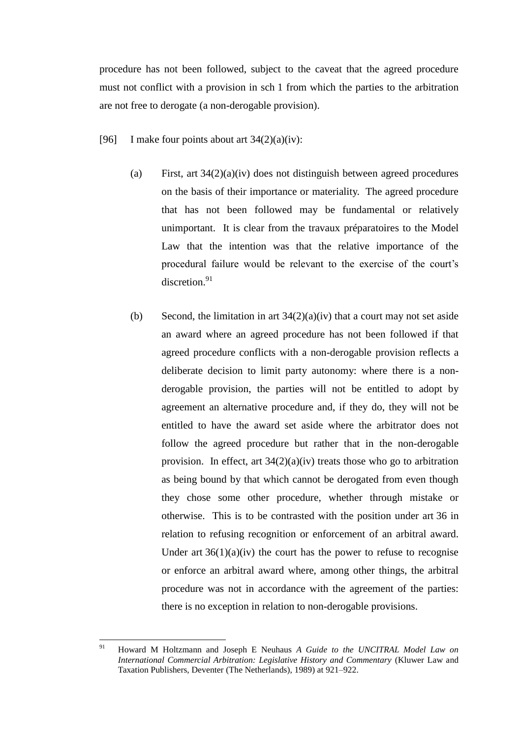procedure has not been followed, subject to the caveat that the agreed procedure must not conflict with a provision in sch 1 from which the parties to the arbitration are not free to derogate (a non-derogable provision).

- <span id="page-37-1"></span><span id="page-37-0"></span>[96] I make four points about art  $34(2)(a)(iv)$ :
	- (a) First, art 34(2)(a)(iv) does not distinguish between agreed procedures on the basis of their importance or materiality. The agreed procedure that has not been followed may be fundamental or relatively unimportant. It is clear from the travaux préparatoires to the Model Law that the intention was that the relative importance of the procedural failure would be relevant to the exercise of the court's discretion.<sup>91</sup>
	- (b) Second, the limitation in art  $34(2)(a)(iv)$  that a court may not set aside an award where an agreed procedure has not been followed if that agreed procedure conflicts with a non-derogable provision reflects a deliberate decision to limit party autonomy: where there is a nonderogable provision, the parties will not be entitled to adopt by agreement an alternative procedure and, if they do, they will not be entitled to have the award set aside where the arbitrator does not follow the agreed procedure but rather that in the non-derogable provision. In effect, art  $34(2)(a)(iv)$  treats those who go to arbitration as being bound by that which cannot be derogated from even though they chose some other procedure, whether through mistake or otherwise. This is to be contrasted with the position under art 36 in relation to refusing recognition or enforcement of an arbitral award. Under art  $36(1)(a)(iv)$  the court has the power to refuse to recognise or enforce an arbitral award where, among other things, the arbitral procedure was not in accordance with the agreement of the parties: there is no exception in relation to non-derogable provisions.

<sup>91</sup> <sup>91</sup> Howard M Holtzmann and Joseph E Neuhaus *A Guide to the UNCITRAL Model Law on International Commercial Arbitration: Legislative History and Commentary* (Kluwer Law and Taxation Publishers, Deventer (The Netherlands), 1989) at 921–922.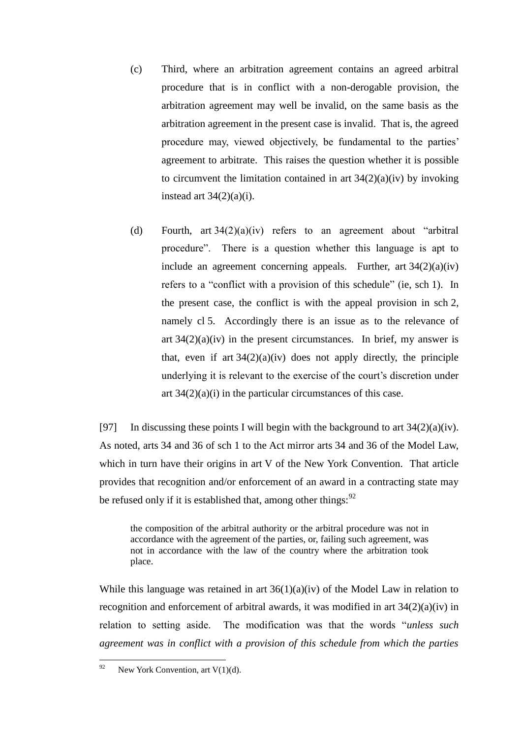- (c) Third, where an arbitration agreement contains an agreed arbitral procedure that is in conflict with a non-derogable provision, the arbitration agreement may well be invalid, on the same basis as the arbitration agreement in the present case is invalid. That is, the agreed procedure may, viewed objectively, be fundamental to the parties' agreement to arbitrate. This raises the question whether it is possible to circumvent the limitation contained in art  $34(2)(a)(iv)$  by invoking instead art  $34(2)(a)(i)$ .
- <span id="page-38-0"></span>(d) Fourth, art 34(2)(a)(iv) refers to an agreement about "arbitral procedure". There is a question whether this language is apt to include an agreement concerning appeals. Further, art  $34(2)(a)(iv)$ refers to a "conflict with a provision of this schedule" (ie, sch 1). In the present case, the conflict is with the appeal provision in sch 2, namely cl 5. Accordingly there is an issue as to the relevance of art  $34(2)(a)(iv)$  in the present circumstances. In brief, my answer is that, even if art  $34(2)(a)(iv)$  does not apply directly, the principle underlying it is relevant to the exercise of the court's discretion under art  $34(2)(a)(i)$  in the particular circumstances of this case.

[97] In discussing these points I will begin with the background to art  $34(2)(a)(iv)$ . As noted, arts 34 and 36 of sch 1 to the Act mirror arts 34 and 36 of the Model Law, which in turn have their origins in art V of the New York Convention. That article provides that recognition and/or enforcement of an award in a contracting state may be refused only if it is established that, among other things:  $92$ 

the composition of the arbitral authority or the arbitral procedure was not in accordance with the agreement of the parties, or, failing such agreement, was not in accordance with the law of the country where the arbitration took place.

While this language was retained in art  $36(1)(a)(iv)$  of the Model Law in relation to recognition and enforcement of arbitral awards, it was modified in art 34(2)(a)(iv) in relation to setting aside. The modification was that the words "*unless such agreement was in conflict with a provision of this schedule from which the parties* 

<sup>92</sup> New York Convention, art  $V(1)(d)$ .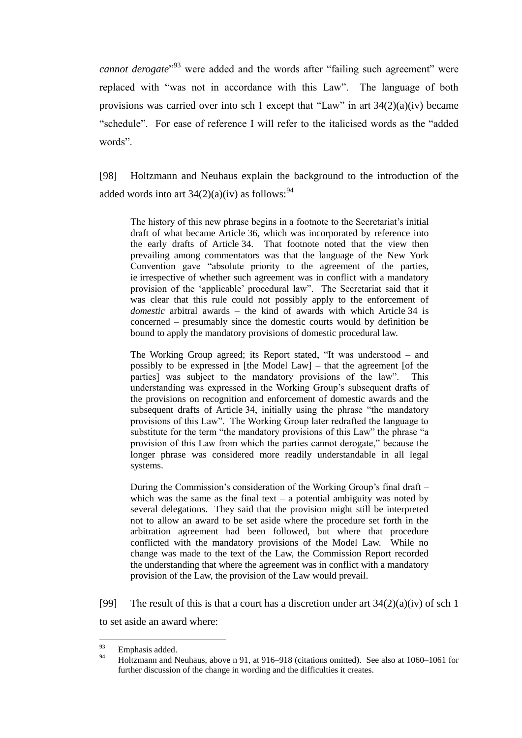*cannot derogate*" <sup>93</sup> were added and the words after "failing such agreement" were replaced with "was not in accordance with this Law". The language of both provisions was carried over into sch 1 except that "Law" in art  $34(2)(a)(iv)$  became "schedule". For ease of reference I will refer to the italicised words as the "added words".

[98] Holtzmann and Neuhaus explain the background to the introduction of the added words into art  $34(2)(a)(iv)$  as follows:<sup>94</sup>

The history of this new phrase begins in a footnote to the Secretariat's initial draft of what became Article 36, which was incorporated by reference into the early drafts of Article 34. That footnote noted that the view then prevailing among commentators was that the language of the New York Convention gave "absolute priority to the agreement of the parties, ie irrespective of whether such agreement was in conflict with a mandatory provision of the 'applicable' procedural law". The Secretariat said that it was clear that this rule could not possibly apply to the enforcement of *domestic* arbitral awards – the kind of awards with which Article 34 is concerned – presumably since the domestic courts would by definition be bound to apply the mandatory provisions of domestic procedural law.

The Working Group agreed; its Report stated, "It was understood – and possibly to be expressed in [the Model Law] – that the agreement [of the parties] was subject to the mandatory provisions of the law". This understanding was expressed in the Working Group's subsequent drafts of the provisions on recognition and enforcement of domestic awards and the subsequent drafts of Article 34, initially using the phrase "the mandatory provisions of this Law". The Working Group later redrafted the language to substitute for the term "the mandatory provisions of this Law" the phrase "a provision of this Law from which the parties cannot derogate," because the longer phrase was considered more readily understandable in all legal systems.

During the Commission's consideration of the Working Group's final draft – which was the same as the final text – a potential ambiguity was noted by several delegations. They said that the provision might still be interpreted not to allow an award to be set aside where the procedure set forth in the arbitration agreement had been followed, but where that procedure conflicted with the mandatory provisions of the Model Law. While no change was made to the text of the Law, the Commission Report recorded the understanding that where the agreement was in conflict with a mandatory provision of the Law, the provision of the Law would prevail.

[99] The result of this is that a court has a discretion under art  $34(2)(a)(iv)$  of sch 1

to set aside an award where:

<sup>93</sup>  $^{93}_{94}$  Emphasis added.

<sup>94</sup> Holtzmann and Neuhaus, above n [91,](#page-37-0) at 916–918 (citations omitted). See also at 1060–1061 for further discussion of the change in wording and the difficulties it creates.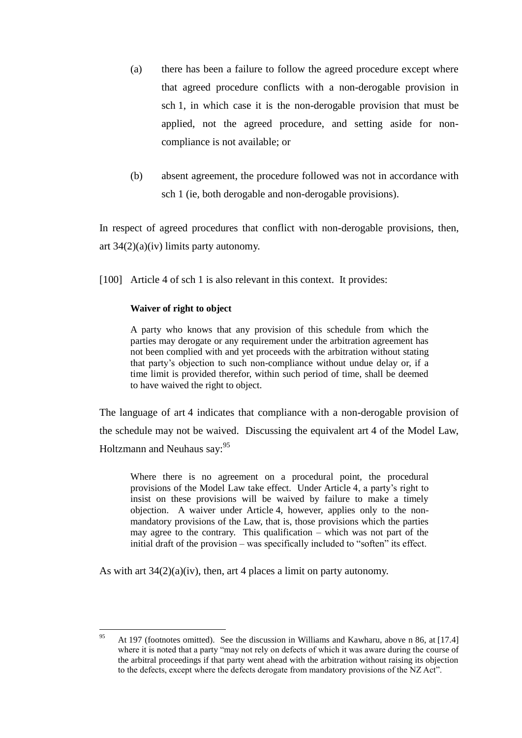- (a) there has been a failure to follow the agreed procedure except where that agreed procedure conflicts with a non-derogable provision in sch 1, in which case it is the non-derogable provision that must be applied, not the agreed procedure, and setting aside for noncompliance is not available; or
- (b) absent agreement, the procedure followed was not in accordance with sch 1 (ie, both derogable and non-derogable provisions).

In respect of agreed procedures that conflict with non-derogable provisions, then, art  $34(2)(a)(iv)$  limits party autonomy.

[100] Article 4 of sch 1 is also relevant in this context. It provides:

## **Waiver of right to object**

A party who knows that any provision of this schedule from which the parties may derogate or any requirement under the arbitration agreement has not been complied with and yet proceeds with the arbitration without stating that party's objection to such non-compliance without undue delay or, if a time limit is provided therefor, within such period of time, shall be deemed to have waived the right to object.

The language of art 4 indicates that compliance with a non-derogable provision of the schedule may not be waived. Discussing the equivalent art 4 of the Model Law, Holtzmann and Neuhaus say: <sup>95</sup>

Where there is no agreement on a procedural point, the procedural provisions of the Model Law take effect. Under Article 4, a party's right to insist on these provisions will be waived by failure to make a timely objection. A waiver under Article 4, however, applies only to the nonmandatory provisions of the Law, that is, those provisions which the parties may agree to the contrary. This qualification  $-\overline{}$  which was not part of the initial draft of the provision – was specifically included to "soften" its effect.

As with art  $34(2)(a)(iv)$ , then, art 4 places a limit on party autonomy.

<sup>95</sup> <sup>95</sup> At 197 (footnotes omitted). See the discussion in Williams and Kawharu, above n [86,](#page-34-1) at [17.4] where it is noted that a party "may not rely on defects of which it was aware during the course of the arbitral proceedings if that party went ahead with the arbitration without raising its objection to the defects, except where the defects derogate from mandatory provisions of the NZ Act".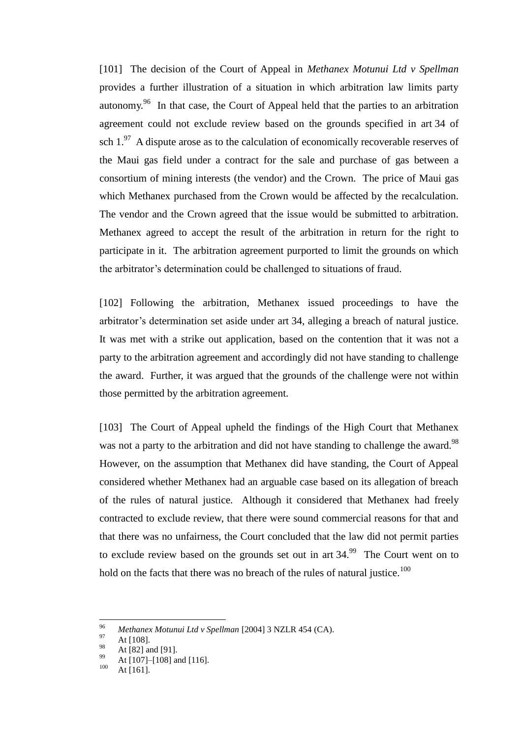<span id="page-41-0"></span>[101] The decision of the Court of Appeal in *Methanex Motunui Ltd v Spellman* provides a further illustration of a situation in which arbitration law limits party autonomy.<sup>96</sup> In that case, the Court of Appeal held that the parties to an arbitration agreement could not exclude review based on the grounds specified in art 34 of sch  $1.^{97}$  A dispute arose as to the calculation of economically recoverable reserves of the Maui gas field under a contract for the sale and purchase of gas between a consortium of mining interests (the vendor) and the Crown. The price of Maui gas which Methanex purchased from the Crown would be affected by the recalculation. The vendor and the Crown agreed that the issue would be submitted to arbitration. Methanex agreed to accept the result of the arbitration in return for the right to participate in it. The arbitration agreement purported to limit the grounds on which the arbitrator's determination could be challenged to situations of fraud.

[102] Following the arbitration, Methanex issued proceedings to have the arbitrator's determination set aside under art 34, alleging a breach of natural justice. It was met with a strike out application, based on the contention that it was not a party to the arbitration agreement and accordingly did not have standing to challenge the award. Further, it was argued that the grounds of the challenge were not within those permitted by the arbitration agreement.

<span id="page-41-1"></span>[103] The Court of Appeal upheld the findings of the High Court that Methanex was not a party to the arbitration and did not have standing to challenge the award.<sup>98</sup> However, on the assumption that Methanex did have standing, the Court of Appeal considered whether Methanex had an arguable case based on its allegation of breach of the rules of natural justice. Although it considered that Methanex had freely contracted to exclude review, that there were sound commercial reasons for that and that there was no unfairness, the Court concluded that the law did not permit parties to exclude review based on the grounds set out in art  $34.99$  The Court went on to hold on the facts that there was no breach of the rules of natural justice.<sup>100</sup>

<sup>96</sup> <sup>96</sup> *Methanex Motunui Ltd v Spellman* [2004] 3 NZLR 454 (CA).

 $^{97}_{98}$  At [108].

 $^{98}$  At [82] and [91].

 $^{99}$  At [107]–[108] and [116].

At  $[161]$ .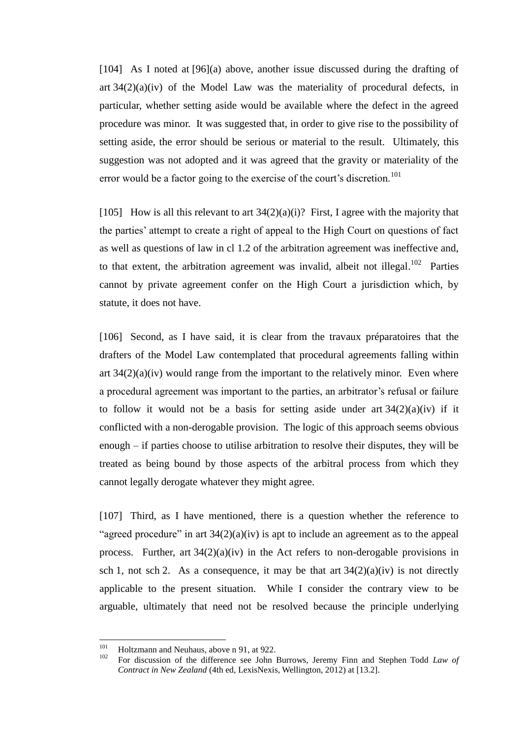[104] As I noted at [\[96\]\(](#page-37-1)a) above, another issue discussed during the drafting of art  $34(2)(a)(iv)$  of the Model Law was the materiality of procedural defects, in particular, whether setting aside would be available where the defect in the agreed procedure was minor. It was suggested that, in order to give rise to the possibility of setting aside, the error should be serious or material to the result. Ultimately, this suggestion was not adopted and it was agreed that the gravity or materiality of the error would be a factor going to the exercise of the court's discretion.<sup>101</sup>

[105] How is all this relevant to art  $34(2)(a)(i)$ ? First, I agree with the majority that the parties' attempt to create a right of appeal to the High Court on questions of fact as well as questions of law in cl 1.2 of the arbitration agreement was ineffective and, to that extent, the arbitration agreement was invalid, albeit not illegal.<sup>102</sup> Parties cannot by private agreement confer on the High Court a jurisdiction which, by statute, it does not have.

[106] Second, as I have said, it is clear from the travaux préparatoires that the drafters of the Model Law contemplated that procedural agreements falling within art  $34(2)(a)(iv)$  would range from the important to the relatively minor. Even where a procedural agreement was important to the parties, an arbitrator's refusal or failure to follow it would not be a basis for setting aside under art  $34(2)(a)(iv)$  if it conflicted with a non-derogable provision. The logic of this approach seems obvious enough – if parties choose to utilise arbitration to resolve their disputes, they will be treated as being bound by those aspects of the arbitral process from which they cannot legally derogate whatever they might agree.

<span id="page-42-0"></span>[107] Third, as I have mentioned, there is a question whether the reference to "agreed procedure" in art  $34(2)(a)(iv)$  is apt to include an agreement as to the appeal process. Further, art  $34(2)(a)(iv)$  in the Act refers to non-derogable provisions in sch 1, not sch 2. As a consequence, it may be that art  $34(2)(a)(iv)$  is not directly applicable to the present situation. While I consider the contrary view to be arguable, ultimately that need not be resolved because the principle underlying

<sup>101</sup> <sup>101</sup> Holtzmann and Neuhaus, above n [91,](#page-37-0) at 922.

<sup>102</sup> For discussion of the difference see John Burrows, Jeremy Finn and Stephen Todd *Law of Contract in New Zealand* (4th ed, LexisNexis, Wellington, 2012) at [13.2].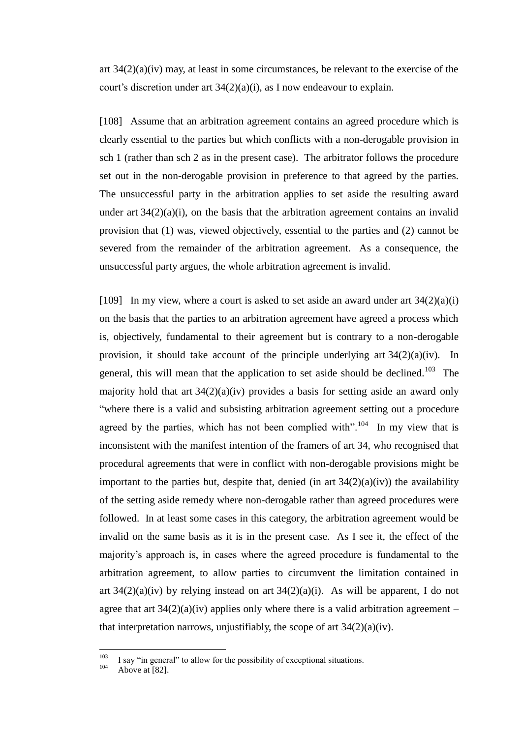art 34(2)(a)(iv) may, at least in some circumstances, be relevant to the exercise of the court's discretion under art 34(2)(a)(i), as I now endeavour to explain.

[108] Assume that an arbitration agreement contains an agreed procedure which is clearly essential to the parties but which conflicts with a non-derogable provision in sch 1 (rather than sch 2 as in the present case). The arbitrator follows the procedure set out in the non-derogable provision in preference to that agreed by the parties. The unsuccessful party in the arbitration applies to set aside the resulting award under art  $34(2)(a)(i)$ , on the basis that the arbitration agreement contains an invalid provision that (1) was, viewed objectively, essential to the parties and (2) cannot be severed from the remainder of the arbitration agreement. As a consequence, the unsuccessful party argues, the whole arbitration agreement is invalid.

<span id="page-43-0"></span>[109] In my view, where a court is asked to set aside an award under art  $34(2)(a)(i)$ on the basis that the parties to an arbitration agreement have agreed a process which is, objectively, fundamental to their agreement but is contrary to a non-derogable provision, it should take account of the principle underlying art  $34(2)(a)(iv)$ . In general, this will mean that the application to set aside should be declined.<sup>103</sup> The majority hold that art  $34(2)(a)(iv)$  provides a basis for setting aside an award only "where there is a valid and subsisting arbitration agreement setting out a procedure agreed by the parties, which has not been complied with".<sup>104</sup> In my view that is inconsistent with the manifest intention of the framers of art 34, who recognised that procedural agreements that were in conflict with non-derogable provisions might be important to the parties but, despite that, denied (in art  $34(2)(a)(iv)$ ) the availability of the setting aside remedy where non-derogable rather than agreed procedures were followed. In at least some cases in this category, the arbitration agreement would be invalid on the same basis as it is in the present case. As I see it, the effect of the majority's approach is, in cases where the agreed procedure is fundamental to the arbitration agreement, to allow parties to circumvent the limitation contained in art  $34(2)(a)(iv)$  by relying instead on art  $34(2)(a)(i)$ . As will be apparent, I do not agree that art  $34(2)(a)(iv)$  applies only where there is a valid arbitration agreement – that interpretation narrows, unjustifiably, the scope of art  $34(2)(a)(iv)$ .

<sup>103</sup>  $103$  I say "in general" to allow for the possibility of exceptional situations.

Above at  $[82]$ .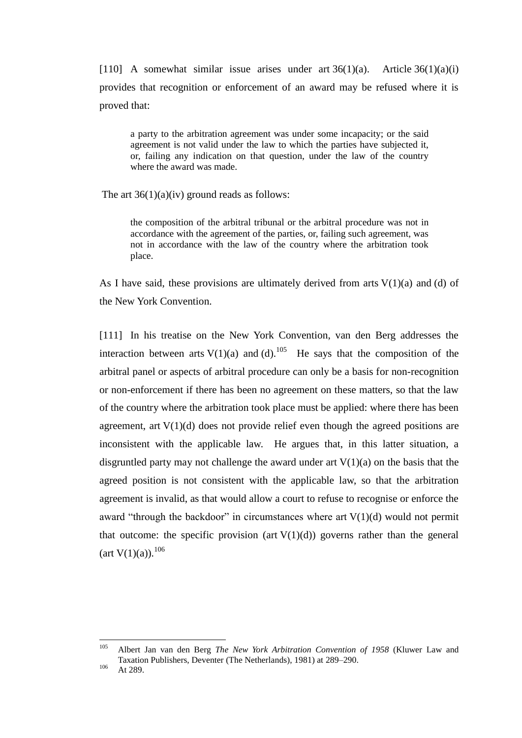[110] A somewhat similar issue arises under art  $36(1)(a)$ . Article  $36(1)(a)(i)$ provides that recognition or enforcement of an award may be refused where it is proved that:

a party to the arbitration agreement was under some incapacity; or the said agreement is not valid under the law to which the parties have subjected it, or, failing any indication on that question, under the law of the country where the award was made.

The art  $36(1)(a)(iv)$  ground reads as follows:

the composition of the arbitral tribunal or the arbitral procedure was not in accordance with the agreement of the parties, or, failing such agreement, was not in accordance with the law of the country where the arbitration took place.

As I have said, these provisions are ultimately derived from arts  $V(1)(a)$  and (d) of the New York Convention.

[111] In his treatise on the New York Convention, van den Berg addresses the interaction between arts  $V(1)(a)$  and  $(d)$ .<sup>105</sup> He says that the composition of the arbitral panel or aspects of arbitral procedure can only be a basis for non-recognition or non-enforcement if there has been no agreement on these matters, so that the law of the country where the arbitration took place must be applied: where there has been agreement, art  $V(1)(d)$  does not provide relief even though the agreed positions are inconsistent with the applicable law. He argues that, in this latter situation, a disgruntled party may not challenge the award under art  $V(1)(a)$  on the basis that the agreed position is not consistent with the applicable law, so that the arbitration agreement is invalid, as that would allow a court to refuse to recognise or enforce the award "through the backdoor" in circumstances where art  $V(1)(d)$  would not permit that outcome: the specific provision (art  $V(1)(d)$ ) governs rather than the general  $(\text{art V}(1)(a))$ .<sup>106</sup>

<sup>105</sup> <sup>105</sup> Albert Jan van den Berg *The New York Arbitration Convention of 1958* (Kluwer Law and Taxation Publishers, Deventer (The Netherlands), 1981) at 289–290.

 $106$  At 289.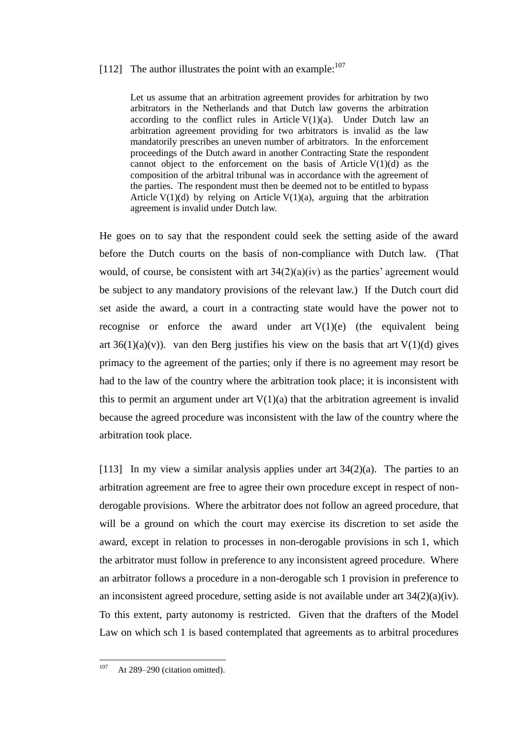# [112] The author illustrates the point with an example: $107$

Let us assume that an arbitration agreement provides for arbitration by two arbitrators in the Netherlands and that Dutch law governs the arbitration according to the conflict rules in Article  $V(1)(a)$ . Under Dutch law an arbitration agreement providing for two arbitrators is invalid as the law mandatorily prescribes an uneven number of arbitrators. In the enforcement proceedings of the Dutch award in another Contracting State the respondent cannot object to the enforcement on the basis of Article  $V(1)(d)$  as the composition of the arbitral tribunal was in accordance with the agreement of the parties. The respondent must then be deemed not to be entitled to bypass Article  $V(1)(d)$  by relying on Article  $V(1)(a)$ , arguing that the arbitration agreement is invalid under Dutch law.

He goes on to say that the respondent could seek the setting aside of the award before the Dutch courts on the basis of non-compliance with Dutch law. (That would, of course, be consistent with art  $34(2)(a)(iv)$  as the parties' agreement would be subject to any mandatory provisions of the relevant law.) If the Dutch court did set aside the award, a court in a contracting state would have the power not to recognise or enforce the award under art  $V(1)(e)$  (the equivalent being art  $36(1)(a)(v)$ . van den Berg justifies his view on the basis that art  $V(1)(d)$  gives primacy to the agreement of the parties; only if there is no agreement may resort be had to the law of the country where the arbitration took place; it is inconsistent with this to permit an argument under art  $V(1)(a)$  that the arbitration agreement is invalid because the agreed procedure was inconsistent with the law of the country where the arbitration took place.

<span id="page-45-0"></span>[113] In my view a similar analysis applies under art 34(2)(a). The parties to an arbitration agreement are free to agree their own procedure except in respect of nonderogable provisions. Where the arbitrator does not follow an agreed procedure, that will be a ground on which the court may exercise its discretion to set aside the award, except in relation to processes in non-derogable provisions in sch 1, which the arbitrator must follow in preference to any inconsistent agreed procedure. Where an arbitrator follows a procedure in a non-derogable sch 1 provision in preference to an inconsistent agreed procedure, setting aside is not available under art  $34(2)(a)(iv)$ . To this extent, party autonomy is restricted. Given that the drafters of the Model Law on which sch 1 is based contemplated that agreements as to arbitral procedures

<sup>107</sup> At 289–290 (citation omitted).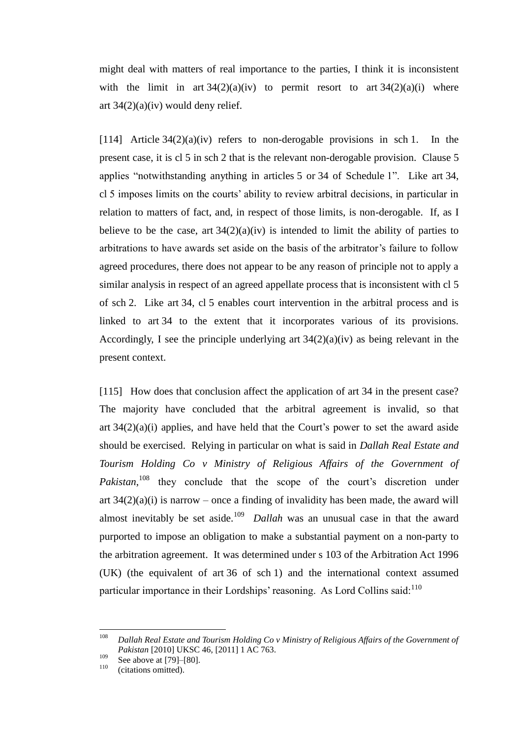might deal with matters of real importance to the parties, I think it is inconsistent with the limit in art  $34(2)(a)(iv)$  to permit resort to art  $34(2)(a)(i)$  where art  $34(2)(a)(iv)$  would deny relief.

<span id="page-46-0"></span>[114] Article  $34(2)(a)(iv)$  refers to non-derogable provisions in sch 1. In the present case, it is cl 5 in sch 2 that is the relevant non-derogable provision. Clause 5 applies "notwithstanding anything in articles 5 or 34 of Schedule 1". Like art 34, cl 5 imposes limits on the courts' ability to review arbitral decisions, in particular in relation to matters of fact, and, in respect of those limits, is non-derogable. If, as I believe to be the case, art  $34(2)(a)(iv)$  is intended to limit the ability of parties to arbitrations to have awards set aside on the basis of the arbitrator's failure to follow agreed procedures, there does not appear to be any reason of principle not to apply a similar analysis in respect of an agreed appellate process that is inconsistent with cl 5 of sch 2. Like art 34, cl 5 enables court intervention in the arbitral process and is linked to art 34 to the extent that it incorporates various of its provisions. Accordingly, I see the principle underlying art 34(2)(a)(iv) as being relevant in the present context.

<span id="page-46-1"></span>[115] How does that conclusion affect the application of art 34 in the present case? The majority have concluded that the arbitral agreement is invalid, so that art  $34(2)(a)(i)$  applies, and have held that the Court's power to set the award aside should be exercised. Relying in particular on what is said in *Dallah Real Estate and Tourism Holding Co v Ministry of Religious Affairs of the Government of*  Pakistan,<sup>108</sup> they conclude that the scope of the court's discretion under art  $34(2)(a)(i)$  is narrow – once a finding of invalidity has been made, the award will almost inevitably be set aside.<sup>109</sup> *Dallah* was an unusual case in that the award purported to impose an obligation to make a substantial payment on a non-party to the arbitration agreement. It was determined under s 103 of the Arbitration Act 1996 (UK) (the equivalent of art 36 of sch 1) and the international context assumed particular importance in their Lordships' reasoning. As Lord Collins said:<sup>110</sup>

<sup>108</sup> <sup>108</sup> *Dallah Real Estate and Tourism Holding Co v Ministry of Religious Affairs of the Government of Pakistan* [2010] UKSC 46, [2011] 1 AC 763.

 $^{109}$  See above a[t \[79\]–](#page-30-0)[\[80\].](#page-31-1)

<sup>(</sup>citations omitted).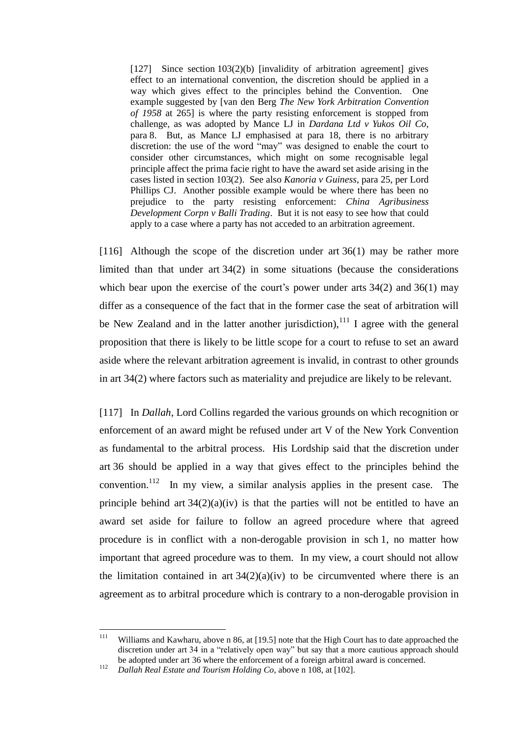$[127]$  Since section  $103(2)(b)$  [invalidity of arbitration agreement] gives effect to an international convention, the discretion should be applied in a way which gives effect to the principles behind the Convention. One example suggested by [van den Berg *The New York Arbitration Convention of 1958* at 265] is where the party resisting enforcement is stopped from challenge, as was adopted by Mance LJ in *Dardana Ltd v Yukos Oil Co*, para 8. But, as Mance LJ emphasised at para 18, there is no arbitrary discretion: the use of the word "may" was designed to enable the court to consider other circumstances, which might on some recognisable legal principle affect the prima facie right to have the award set aside arising in the cases listed in section 103(2). See also *Kanoria v Guiness*, para 25, per Lord Phillips CJ. Another possible example would be where there has been no prejudice to the party resisting enforcement: *China Agribusiness Development Corpn v Balli Trading*. But it is not easy to see how that could apply to a case where a party has not acceded to an arbitration agreement.

[116] Although the scope of the discretion under art 36(1) may be rather more limited than that under art 34(2) in some situations (because the considerations which bear upon the exercise of the court's power under arts 34(2) and 36(1) may differ as a consequence of the fact that in the former case the seat of arbitration will be New Zealand and in the latter another jurisdiction),  $111$  I agree with the general proposition that there is likely to be little scope for a court to refuse to set an award aside where the relevant arbitration agreement is invalid, in contrast to other grounds in art 34(2) where factors such as materiality and prejudice are likely to be relevant.

[117] In *Dallah*, Lord Collins regarded the various grounds on which recognition or enforcement of an award might be refused under art V of the New York Convention as fundamental to the arbitral process. His Lordship said that the discretion under art 36 should be applied in a way that gives effect to the principles behind the convention.<sup>112</sup> In my view, a similar analysis applies in the present case. The principle behind art  $34(2)(a)(iv)$  is that the parties will not be entitled to have an award set aside for failure to follow an agreed procedure where that agreed procedure is in conflict with a non-derogable provision in sch 1, no matter how important that agreed procedure was to them. In my view, a court should not allow the limitation contained in art  $34(2)(a)(iv)$  to be circumvented where there is an agreement as to arbitral procedure which is contrary to a non-derogable provision in

 $111$ Williams and Kawharu, above n [86,](#page-34-1) at [19.5] note that the High Court has to date approached the discretion under art 34 in a "relatively open way" but say that a more cautious approach should be adopted under art 36 where the enforcement of a foreign arbitral award is concerned.

<sup>112</sup> *Dallah Real Estate and Tourism Holding Co*, above n [108,](#page-46-1) at [102].